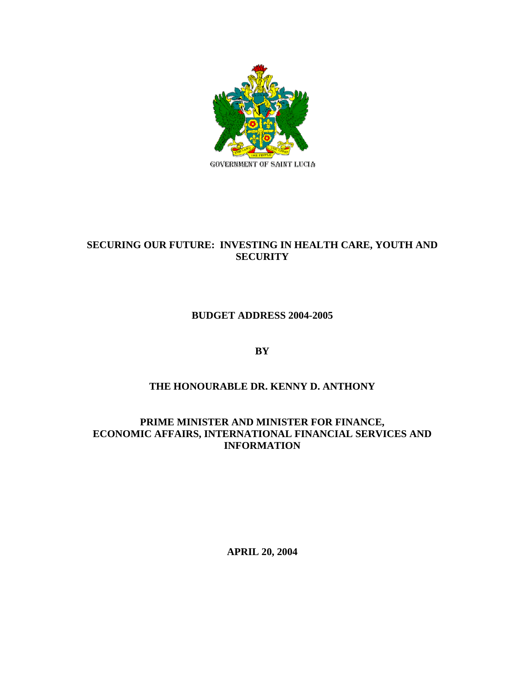

# **SECURING OUR FUTURE: INVESTING IN HEALTH CARE, YOUTH AND SECURITY**

**BUDGET ADDRESS 2004-2005** 

**BY** 

# **THE HONOURABLE DR. KENNY D. ANTHONY**

**PRIME MINISTER AND MINISTER FOR FINANCE, ECONOMIC AFFAIRS, INTERNATIONAL FINANCIAL SERVICES AND INFORMATION** 

**APRIL 20, 2004**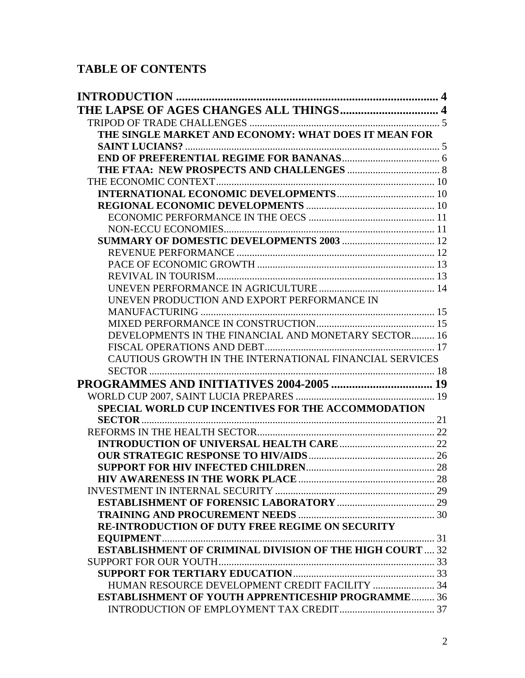# **TABLE OF CONTENTS**

| <b>INTRODUCTION</b>                                             |  |
|-----------------------------------------------------------------|--|
|                                                                 |  |
|                                                                 |  |
| THE SINGLE MARKET AND ECONOMY: WHAT DOES IT MEAN FOR            |  |
|                                                                 |  |
|                                                                 |  |
|                                                                 |  |
|                                                                 |  |
|                                                                 |  |
|                                                                 |  |
|                                                                 |  |
|                                                                 |  |
|                                                                 |  |
|                                                                 |  |
|                                                                 |  |
|                                                                 |  |
|                                                                 |  |
| UNEVEN PRODUCTION AND EXPORT PERFORMANCE IN                     |  |
|                                                                 |  |
|                                                                 |  |
| DEVELOPMENTS IN THE FINANCIAL AND MONETARY SECTOR 16            |  |
|                                                                 |  |
| CAUTIOUS GROWTH IN THE INTERNATIONAL FINANCIAL SERVICES         |  |
| SECTOR                                                          |  |
|                                                                 |  |
|                                                                 |  |
| <b>SPECIAL WORLD CUP INCENTIVES FOR THE ACCOMMODATION</b>       |  |
| <b>SECTOR</b>                                                   |  |
|                                                                 |  |
|                                                                 |  |
|                                                                 |  |
|                                                                 |  |
|                                                                 |  |
|                                                                 |  |
|                                                                 |  |
|                                                                 |  |
| RE-INTRODUCTION OF DUTY FREE REGIME ON SECURITY                 |  |
| <b>ESTABLISHMENT OF CRIMINAL DIVISION OF THE HIGH COURT  32</b> |  |
|                                                                 |  |
|                                                                 |  |
| HUMAN RESOURCE DEVELOPMENT CREDIT FACILITY  34                  |  |
| <b>ESTABLISHMENT OF YOUTH APPRENTICESHIP PROGRAMME 36</b>       |  |
|                                                                 |  |
|                                                                 |  |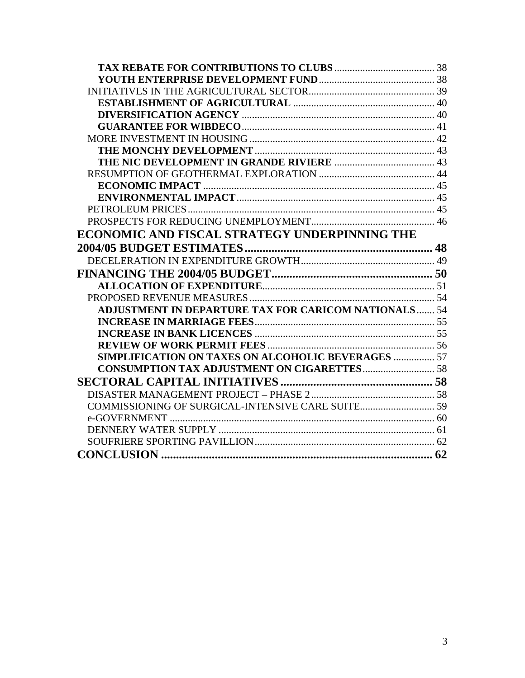| ECONOMIC AND FISCAL STRATEGY UNDERPINNING THE               |  |
|-------------------------------------------------------------|--|
|                                                             |  |
|                                                             |  |
|                                                             |  |
|                                                             |  |
|                                                             |  |
| <b>ADJUSTMENT IN DEPARTURE TAX FOR CARICOM NATIONALS 54</b> |  |
|                                                             |  |
|                                                             |  |
|                                                             |  |
| <b>SIMPLIFICATION ON TAXES ON ALCOHOLIC BEVERAGES  57</b>   |  |
|                                                             |  |
|                                                             |  |
|                                                             |  |
|                                                             |  |
|                                                             |  |
|                                                             |  |
|                                                             |  |
|                                                             |  |
|                                                             |  |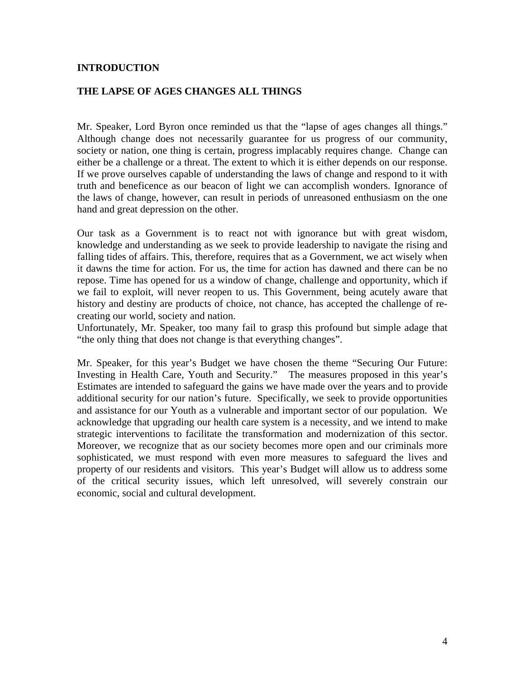#### <span id="page-3-0"></span>**INTRODUCTION**

#### **THE LAPSE OF AGES CHANGES ALL THINGS**

Mr. Speaker, Lord Byron once reminded us that the "lapse of ages changes all things." Although change does not necessarily guarantee for us progress of our community, society or nation, one thing is certain, progress implacably requires change. Change can either be a challenge or a threat. The extent to which it is either depends on our response. If we prove ourselves capable of understanding the laws of change and respond to it with truth and beneficence as our beacon of light we can accomplish wonders. Ignorance of the laws of change, however, can result in periods of unreasoned enthusiasm on the one hand and great depression on the other.

Our task as a Government is to react not with ignorance but with great wisdom, knowledge and understanding as we seek to provide leadership to navigate the rising and falling tides of affairs. This, therefore, requires that as a Government, we act wisely when it dawns the time for action. For us, the time for action has dawned and there can be no repose. Time has opened for us a window of change, challenge and opportunity, which if we fail to exploit, will never reopen to us. This Government, being acutely aware that history and destiny are products of choice, not chance, has accepted the challenge of recreating our world, society and nation.

Unfortunately, Mr. Speaker, too many fail to grasp this profound but simple adage that "the only thing that does not change is that everything changes".

Mr. Speaker, for this year's Budget we have chosen the theme "Securing Our Future: Investing in Health Care, Youth and Security." The measures proposed in this year's Estimates are intended to safeguard the gains we have made over the years and to provide additional security for our nation's future. Specifically, we seek to provide opportunities and assistance for our Youth as a vulnerable and important sector of our population. We acknowledge that upgrading our health care system is a necessity, and we intend to make strategic interventions to facilitate the transformation and modernization of this sector. Moreover, we recognize that as our society becomes more open and our criminals more sophisticated, we must respond with even more measures to safeguard the lives and property of our residents and visitors. This year's Budget will allow us to address some of the critical security issues, which left unresolved, will severely constrain our economic, social and cultural development.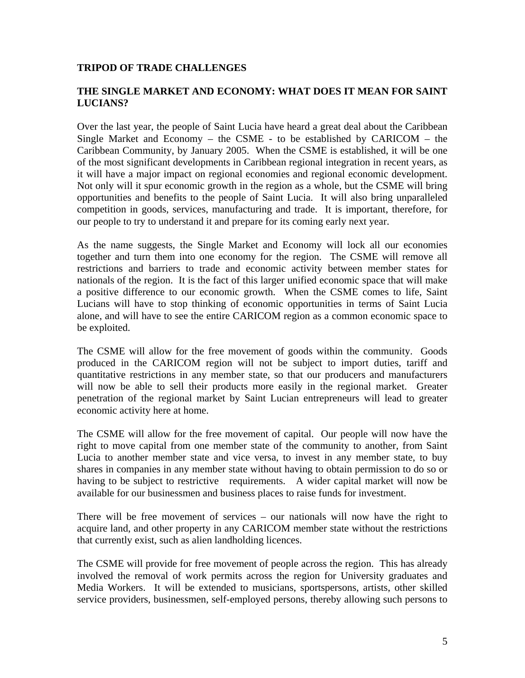# <span id="page-4-0"></span>**TRIPOD OF TRADE CHALLENGES**

#### **THE SINGLE MARKET AND ECONOMY: WHAT DOES IT MEAN FOR SAINT LUCIANS?**

Over the last year, the people of Saint Lucia have heard a great deal about the Caribbean Single Market and Economy – the CSME - to be established by CARICOM – the Caribbean Community, by January 2005. When the CSME is established, it will be one of the most significant developments in Caribbean regional integration in recent years, as it will have a major impact on regional economies and regional economic development. Not only will it spur economic growth in the region as a whole, but the CSME will bring opportunities and benefits to the people of Saint Lucia. It will also bring unparalleled competition in goods, services, manufacturing and trade. It is important, therefore, for our people to try to understand it and prepare for its coming early next year.

As the name suggests, the Single Market and Economy will lock all our economies together and turn them into one economy for the region. The CSME will remove all restrictions and barriers to trade and economic activity between member states for nationals of the region. It is the fact of this larger unified economic space that will make a positive difference to our economic growth. When the CSME comes to life, Saint Lucians will have to stop thinking of economic opportunities in terms of Saint Lucia alone, and will have to see the entire CARICOM region as a common economic space to be exploited.

The CSME will allow for the free movement of goods within the community. Goods produced in the CARICOM region will not be subject to import duties, tariff and quantitative restrictions in any member state, so that our producers and manufacturers will now be able to sell their products more easily in the regional market. Greater penetration of the regional market by Saint Lucian entrepreneurs will lead to greater economic activity here at home.

The CSME will allow for the free movement of capital. Our people will now have the right to move capital from one member state of the community to another, from Saint Lucia to another member state and vice versa, to invest in any member state, to buy shares in companies in any member state without having to obtain permission to do so or having to be subject to restrictive requirements. A wider capital market will now be available for our businessmen and business places to raise funds for investment.

There will be free movement of services – our nationals will now have the right to acquire land, and other property in any CARICOM member state without the restrictions that currently exist, such as alien landholding licences.

The CSME will provide for free movement of people across the region. This has already involved the removal of work permits across the region for University graduates and Media Workers. It will be extended to musicians, sportspersons, artists, other skilled service providers, businessmen, self-employed persons, thereby allowing such persons to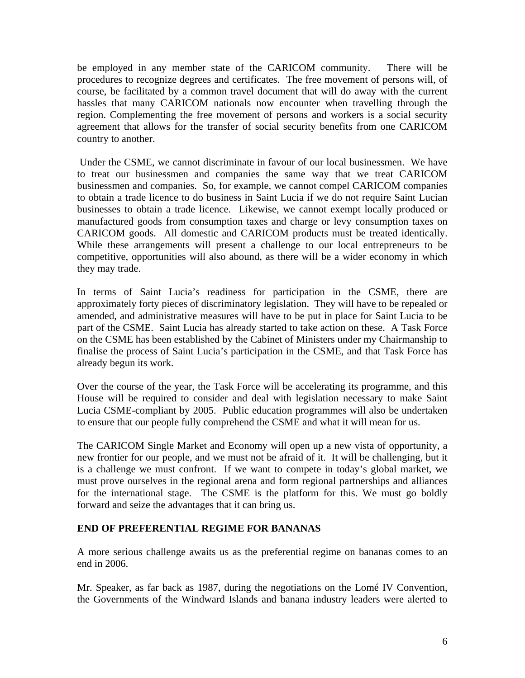<span id="page-5-0"></span>be employed in any member state of the CARICOM community. There will be procedures to recognize degrees and certificates. The free movement of persons will, of course, be facilitated by a common travel document that will do away with the current hassles that many CARICOM nationals now encounter when travelling through the region. Complementing the free movement of persons and workers is a social security agreement that allows for the transfer of social security benefits from one CARICOM country to another.

Under the CSME, we cannot discriminate in favour of our local businessmen. We have to treat our businessmen and companies the same way that we treat CARICOM businessmen and companies. So, for example, we cannot compel CARICOM companies to obtain a trade licence to do business in Saint Lucia if we do not require Saint Lucian businesses to obtain a trade licence. Likewise, we cannot exempt locally produced or manufactured goods from consumption taxes and charge or levy consumption taxes on CARICOM goods. All domestic and CARICOM products must be treated identically. While these arrangements will present a challenge to our local entrepreneurs to be competitive, opportunities will also abound, as there will be a wider economy in which they may trade.

In terms of Saint Lucia's readiness for participation in the CSME, there are approximately forty pieces of discriminatory legislation. They will have to be repealed or amended, and administrative measures will have to be put in place for Saint Lucia to be part of the CSME. Saint Lucia has already started to take action on these. A Task Force on the CSME has been established by the Cabinet of Ministers under my Chairmanship to finalise the process of Saint Lucia's participation in the CSME, and that Task Force has already begun its work.

Over the course of the year, the Task Force will be accelerating its programme, and this House will be required to consider and deal with legislation necessary to make Saint Lucia CSME-compliant by 2005. Public education programmes will also be undertaken to ensure that our people fully comprehend the CSME and what it will mean for us.

The CARICOM Single Market and Economy will open up a new vista of opportunity, a new frontier for our people, and we must not be afraid of it. It will be challenging, but it is a challenge we must confront. If we want to compete in today's global market, we must prove ourselves in the regional arena and form regional partnerships and alliances for the international stage. The CSME is the platform for this. We must go boldly forward and seize the advantages that it can bring us.

# **END OF PREFERENTIAL REGIME FOR BANANAS**

A more serious challenge awaits us as the preferential regime on bananas comes to an end in 2006.

Mr. Speaker, as far back as 1987, during the negotiations on the Lomé IV Convention, the Governments of the Windward Islands and banana industry leaders were alerted to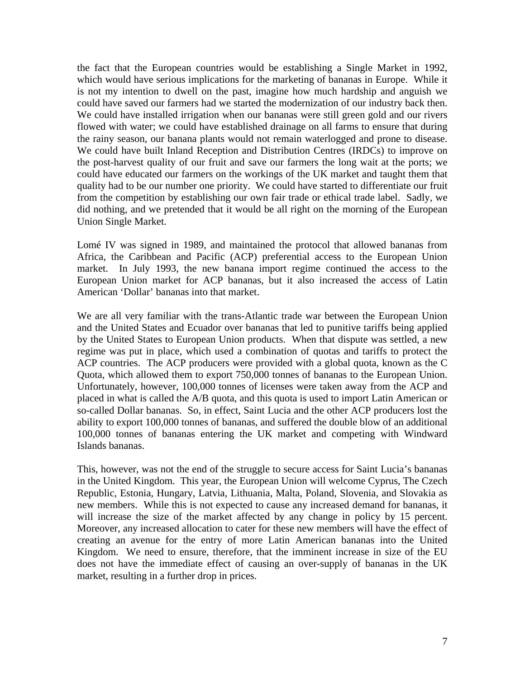the fact that the European countries would be establishing a Single Market in 1992, which would have serious implications for the marketing of bananas in Europe. While it is not my intention to dwell on the past, imagine how much hardship and anguish we could have saved our farmers had we started the modernization of our industry back then. We could have installed irrigation when our bananas were still green gold and our rivers flowed with water; we could have established drainage on all farms to ensure that during the rainy season, our banana plants would not remain waterlogged and prone to disease. We could have built Inland Reception and Distribution Centres (IRDCs) to improve on the post-harvest quality of our fruit and save our farmers the long wait at the ports; we could have educated our farmers on the workings of the UK market and taught them that quality had to be our number one priority. We could have started to differentiate our fruit from the competition by establishing our own fair trade or ethical trade label. Sadly, we did nothing, and we pretended that it would be all right on the morning of the European Union Single Market.

Lomé IV was signed in 1989, and maintained the protocol that allowed bananas from Africa, the Caribbean and Pacific (ACP) preferential access to the European Union market. In July 1993, the new banana import regime continued the access to the European Union market for ACP bananas, but it also increased the access of Latin American 'Dollar' bananas into that market.

We are all very familiar with the trans-Atlantic trade war between the European Union and the United States and Ecuador over bananas that led to punitive tariffs being applied by the United States to European Union products. When that dispute was settled, a new regime was put in place, which used a combination of quotas and tariffs to protect the ACP countries. The ACP producers were provided with a global quota, known as the C Quota, which allowed them to export 750,000 tonnes of bananas to the European Union. Unfortunately, however, 100,000 tonnes of licenses were taken away from the ACP and placed in what is called the A/B quota, and this quota is used to import Latin American or so-called Dollar bananas. So, in effect, Saint Lucia and the other ACP producers lost the ability to export 100,000 tonnes of bananas, and suffered the double blow of an additional 100,000 tonnes of bananas entering the UK market and competing with Windward Islands bananas.

This, however, was not the end of the struggle to secure access for Saint Lucia's bananas in the United Kingdom. This year, the European Union will welcome Cyprus, The Czech Republic, Estonia, Hungary, Latvia, Lithuania, Malta, Poland, Slovenia, and Slovakia as new members. While this is not expected to cause any increased demand for bananas, it will increase the size of the market affected by any change in policy by 15 percent. Moreover, any increased allocation to cater for these new members will have the effect of creating an avenue for the entry of more Latin American bananas into the United Kingdom. We need to ensure, therefore, that the imminent increase in size of the EU does not have the immediate effect of causing an over-supply of bananas in the UK market, resulting in a further drop in prices.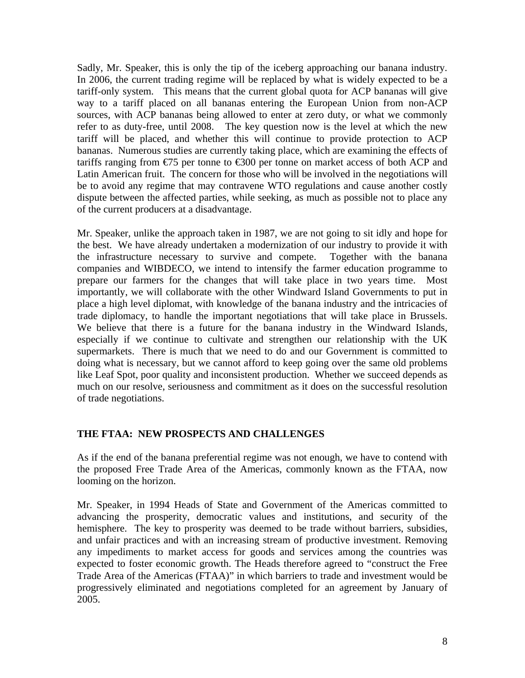<span id="page-7-0"></span>Sadly, Mr. Speaker, this is only the tip of the iceberg approaching our banana industry. In 2006, the current trading regime will be replaced by what is widely expected to be a tariff-only system. This means that the current global quota for ACP bananas will give way to a tariff placed on all bananas entering the European Union from non-ACP sources, with ACP bananas being allowed to enter at zero duty, or what we commonly refer to as duty-free, until 2008. The key question now is the level at which the new tariff will be placed, and whether this will continue to provide protection to ACP bananas. Numerous studies are currently taking place, which are examining the effects of tariffs ranging from  $\epsilon$ 75 per tonne to  $\epsilon$ 300 per tonne on market access of both ACP and Latin American fruit. The concern for those who will be involved in the negotiations will be to avoid any regime that may contravene WTO regulations and cause another costly dispute between the affected parties, while seeking, as much as possible not to place any of the current producers at a disadvantage.

Mr. Speaker, unlike the approach taken in 1987, we are not going to sit idly and hope for the best. We have already undertaken a modernization of our industry to provide it with the infrastructure necessary to survive and compete. Together with the banana companies and WIBDECO, we intend to intensify the farmer education programme to prepare our farmers for the changes that will take place in two years time. Most importantly, we will collaborate with the other Windward Island Governments to put in place a high level diplomat, with knowledge of the banana industry and the intricacies of trade diplomacy, to handle the important negotiations that will take place in Brussels. We believe that there is a future for the banana industry in the Windward Islands, especially if we continue to cultivate and strengthen our relationship with the UK supermarkets. There is much that we need to do and our Government is committed to doing what is necessary, but we cannot afford to keep going over the same old problems like Leaf Spot, poor quality and inconsistent production. Whether we succeed depends as much on our resolve, seriousness and commitment as it does on the successful resolution of trade negotiations.

# **THE FTAA: NEW PROSPECTS AND CHALLENGES**

As if the end of the banana preferential regime was not enough, we have to contend with the proposed Free Trade Area of the Americas, commonly known as the FTAA, now looming on the horizon.

Mr. Speaker, in 1994 Heads of State and Government of the Americas committed to advancing the prosperity, democratic values and institutions, and security of the hemisphere. The key to prosperity was deemed to be trade without barriers, subsidies, and unfair practices and with an increasing stream of productive investment. Removing any impediments to market access for goods and services among the countries was expected to foster economic growth. The Heads therefore agreed to "construct the Free Trade Area of the Americas (FTAA)" in which barriers to trade and investment would be progressively eliminated and negotiations completed for an agreement by January of 2005.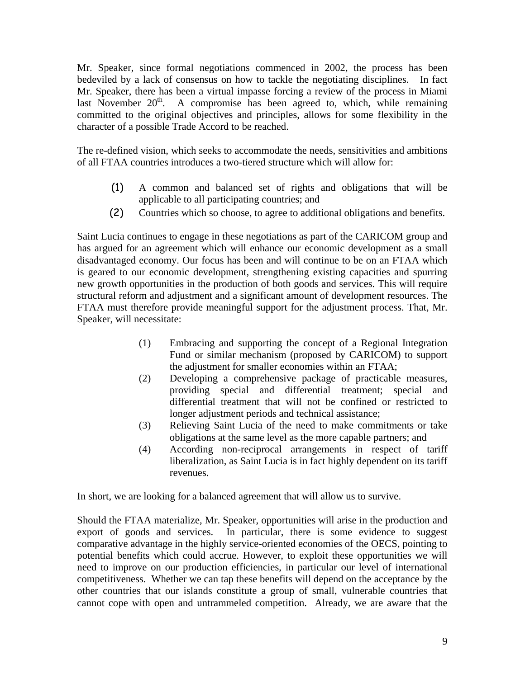Mr. Speaker, since formal negotiations commenced in 2002, the process has been bedeviled by a lack of consensus on how to tackle the negotiating disciplines. In fact Mr. Speaker, there has been a virtual impasse forcing a review of the process in Miami last November  $20<sup>th</sup>$ . A compromise has been agreed to, which, while remaining committed to the original objectives and principles, allows for some flexibility in the character of a possible Trade Accord to be reached.

The re-defined vision, which seeks to accommodate the needs, sensitivities and ambitions of all FTAA countries introduces a two-tiered structure which will allow for:

- (1) A common and balanced set of rights and obligations that will be applicable to all participating countries; and
- (2) Countries which so choose, to agree to additional obligations and benefits.

Saint Lucia continues to engage in these negotiations as part of the CARICOM group and has argued for an agreement which will enhance our economic development as a small disadvantaged economy. Our focus has been and will continue to be on an FTAA which is geared to our economic development, strengthening existing capacities and spurring new growth opportunities in the production of both goods and services. This will require structural reform and adjustment and a significant amount of development resources. The FTAA must therefore provide meaningful support for the adjustment process. That, Mr. Speaker, will necessitate:

- (1) Embracing and supporting the concept of a Regional Integration Fund or similar mechanism (proposed by CARICOM) to support the adjustment for smaller economies within an FTAA;
- (2) Developing a comprehensive package of practicable measures, providing special and differential treatment; special and differential treatment that will not be confined or restricted to longer adjustment periods and technical assistance;
- (3) Relieving Saint Lucia of the need to make commitments or take obligations at the same level as the more capable partners; and
- (4) According non-reciprocal arrangements in respect of tariff liberalization, as Saint Lucia is in fact highly dependent on its tariff revenues.

In short, we are looking for a balanced agreement that will allow us to survive.

Should the FTAA materialize, Mr. Speaker, opportunities will arise in the production and export of goods and services. In particular, there is some evidence to suggest comparative advantage in the highly service-oriented economies of the OECS, pointing to potential benefits which could accrue. However, to exploit these opportunities we will need to improve on our production efficiencies, in particular our level of international competitiveness. Whether we can tap these benefits will depend on the acceptance by the other countries that our islands constitute a group of small, vulnerable countries that cannot cope with open and untrammeled competition. Already, we are aware that the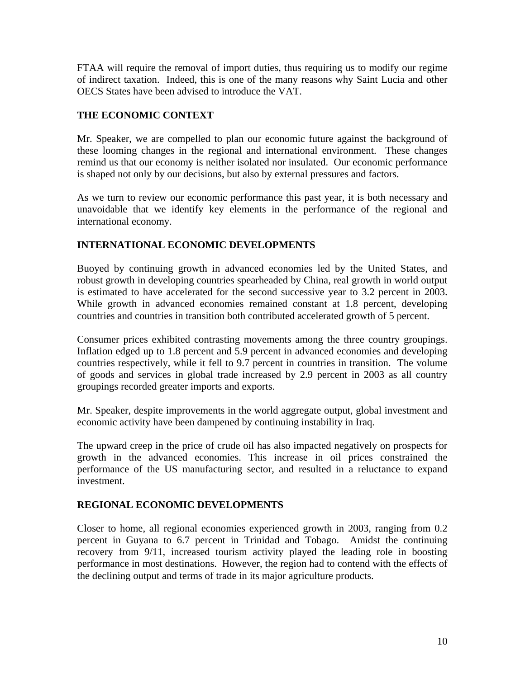<span id="page-9-0"></span>FTAA will require the removal of import duties, thus requiring us to modify our regime of indirect taxation. Indeed, this is one of the many reasons why Saint Lucia and other OECS States have been advised to introduce the VAT.

# **THE ECONOMIC CONTEXT**

Mr. Speaker, we are compelled to plan our economic future against the background of these looming changes in the regional and international environment. These changes remind us that our economy is neither isolated nor insulated. Our economic performance is shaped not only by our decisions, but also by external pressures and factors.

As we turn to review our economic performance this past year, it is both necessary and unavoidable that we identify key elements in the performance of the regional and international economy.

# **INTERNATIONAL ECONOMIC DEVELOPMENTS**

Buoyed by continuing growth in advanced economies led by the United States, and robust growth in developing countries spearheaded by China, real growth in world output is estimated to have accelerated for the second successive year to 3.2 percent in 2003. While growth in advanced economies remained constant at 1.8 percent, developing countries and countries in transition both contributed accelerated growth of 5 percent.

Consumer prices exhibited contrasting movements among the three country groupings. Inflation edged up to 1.8 percent and 5.9 percent in advanced economies and developing countries respectively, while it fell to 9.7 percent in countries in transition. The volume of goods and services in global trade increased by 2.9 percent in 2003 as all country groupings recorded greater imports and exports.

Mr. Speaker, despite improvements in the world aggregate output, global investment and economic activity have been dampened by continuing instability in Iraq.

The upward creep in the price of crude oil has also impacted negatively on prospects for growth in the advanced economies. This increase in oil prices constrained the performance of the US manufacturing sector, and resulted in a reluctance to expand investment.

# **REGIONAL ECONOMIC DEVELOPMENTS**

Closer to home, all regional economies experienced growth in 2003, ranging from 0.2 percent in Guyana to 6.7 percent in Trinidad and Tobago. Amidst the continuing recovery from 9/11, increased tourism activity played the leading role in boosting performance in most destinations. However, the region had to contend with the effects of the declining output and terms of trade in its major agriculture products.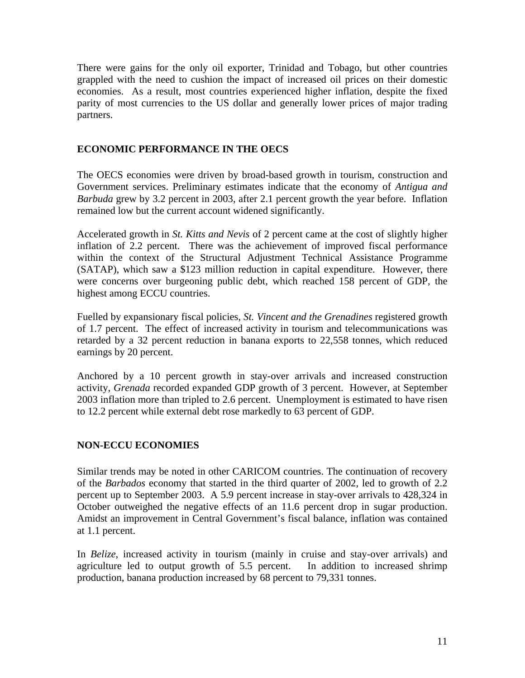<span id="page-10-0"></span>There were gains for the only oil exporter, Trinidad and Tobago, but other countries grappled with the need to cushion the impact of increased oil prices on their domestic economies. As a result, most countries experienced higher inflation, despite the fixed parity of most currencies to the US dollar and generally lower prices of major trading partners.

# **ECONOMIC PERFORMANCE IN THE OECS**

The OECS economies were driven by broad-based growth in tourism, construction and Government services. Preliminary estimates indicate that the economy of *Antigua and Barbuda* grew by 3.2 percent in 2003, after 2.1 percent growth the year before. Inflation remained low but the current account widened significantly.

Accelerated growth in *St. Kitts and Nevis* of 2 percent came at the cost of slightly higher inflation of 2.2 percent. There was the achievement of improved fiscal performance within the context of the Structural Adjustment Technical Assistance Programme (SATAP), which saw a \$123 million reduction in capital expenditure. However, there were concerns over burgeoning public debt, which reached 158 percent of GDP, the highest among ECCU countries.

Fuelled by expansionary fiscal policies, *St. Vincent and the Grenadines* registered growth of 1.7 percent. The effect of increased activity in tourism and telecommunications was retarded by a 32 percent reduction in banana exports to 22,558 tonnes, which reduced earnings by 20 percent.

Anchored by a 10 percent growth in stay-over arrivals and increased construction activity, *Grenada* recorded expanded GDP growth of 3 percent. However, at September 2003 inflation more than tripled to 2.6 percent. Unemployment is estimated to have risen to 12.2 percent while external debt rose markedly to 63 percent of GDP.

# **NON-ECCU ECONOMIES**

Similar trends may be noted in other CARICOM countries. The continuation of recovery of the *Barbados* economy that started in the third quarter of 2002, led to growth of 2.2 percent up to September 2003. A 5.9 percent increase in stay-over arrivals to 428,324 in October outweighed the negative effects of an 11.6 percent drop in sugar production. Amidst an improvement in Central Government's fiscal balance, inflation was contained at 1.1 percent.

In *Belize*, increased activity in tourism (mainly in cruise and stay-over arrivals) and agriculture led to output growth of 5.5 percent. In addition to increased shrimp production, banana production increased by 68 percent to 79,331 tonnes.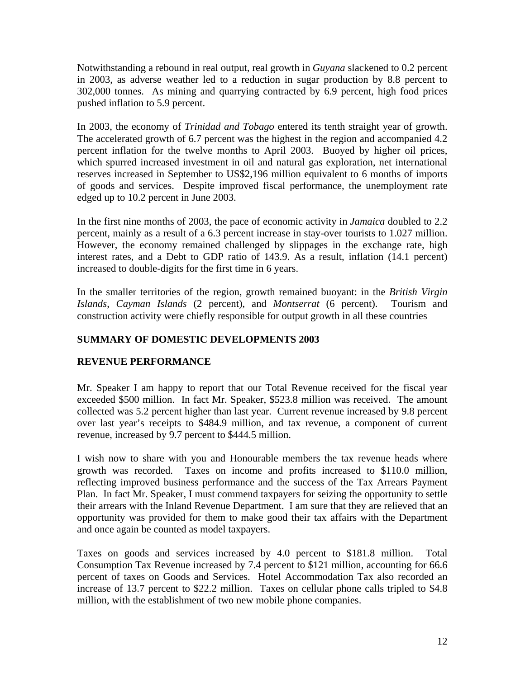<span id="page-11-0"></span>Notwithstanding a rebound in real output, real growth in *Guyana* slackened to 0.2 percent in 2003, as adverse weather led to a reduction in sugar production by 8.8 percent to 302,000 tonnes. As mining and quarrying contracted by 6.9 percent, high food prices pushed inflation to 5.9 percent.

In 2003, the economy of *Trinidad and Tobago* entered its tenth straight year of growth. The accelerated growth of 6.7 percent was the highest in the region and accompanied 4.2 percent inflation for the twelve months to April 2003. Buoyed by higher oil prices, which spurred increased investment in oil and natural gas exploration, net international reserves increased in September to US\$2,196 million equivalent to 6 months of imports of goods and services. Despite improved fiscal performance, the unemployment rate edged up to 10.2 percent in June 2003.

In the first nine months of 2003, the pace of economic activity in *Jamaica* doubled to 2.2 percent, mainly as a result of a 6.3 percent increase in stay-over tourists to 1.027 million. However, the economy remained challenged by slippages in the exchange rate, high interest rates, and a Debt to GDP ratio of 143.9. As a result, inflation (14.1 percent) increased to double-digits for the first time in 6 years.

In the smaller territories of the region, growth remained buoyant: in the *British Virgin Islands*, *Cayman Islands* (2 percent), and *Montserrat* (6 percent). Tourism and construction activity were chiefly responsible for output growth in all these countries

# **SUMMARY OF DOMESTIC DEVELOPMENTS 2003**

# **REVENUE PERFORMANCE**

Mr. Speaker I am happy to report that our Total Revenue received for the fiscal year exceeded \$500 million. In fact Mr. Speaker, \$523.8 million was received. The amount collected was 5.2 percent higher than last year. Current revenue increased by 9.8 percent over last year's receipts to \$484.9 million, and tax revenue, a component of current revenue, increased by 9.7 percent to \$444.5 million.

I wish now to share with you and Honourable members the tax revenue heads where growth was recorded. Taxes on income and profits increased to \$110.0 million, reflecting improved business performance and the success of the Tax Arrears Payment Plan. In fact Mr. Speaker, I must commend taxpayers for seizing the opportunity to settle their arrears with the Inland Revenue Department. I am sure that they are relieved that an opportunity was provided for them to make good their tax affairs with the Department and once again be counted as model taxpayers.

Taxes on goods and services increased by 4.0 percent to \$181.8 million. Total Consumption Tax Revenue increased by 7.4 percent to \$121 million, accounting for 66.6 percent of taxes on Goods and Services. Hotel Accommodation Tax also recorded an increase of 13.7 percent to \$22.2 million. Taxes on cellular phone calls tripled to \$4.8 million, with the establishment of two new mobile phone companies.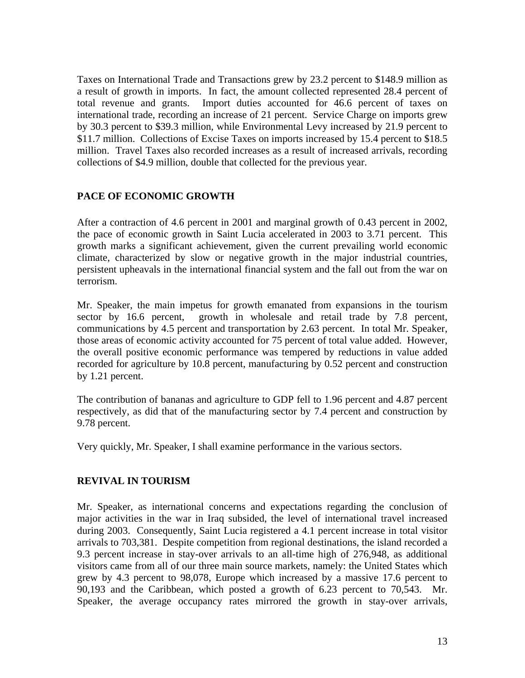<span id="page-12-0"></span>Taxes on International Trade and Transactions grew by 23.2 percent to \$148.9 million as a result of growth in imports. In fact, the amount collected represented 28.4 percent of total revenue and grants. Import duties accounted for 46.6 percent of taxes on international trade, recording an increase of 21 percent. Service Charge on imports grew by 30.3 percent to \$39.3 million, while Environmental Levy increased by 21.9 percent to \$11.7 million. Collections of Excise Taxes on imports increased by 15.4 percent to \$18.5 million. Travel Taxes also recorded increases as a result of increased arrivals, recording collections of \$4.9 million, double that collected for the previous year.

# **PACE OF ECONOMIC GROWTH**

After a contraction of 4.6 percent in 2001 and marginal growth of 0.43 percent in 2002, the pace of economic growth in Saint Lucia accelerated in 2003 to 3.71 percent. This growth marks a significant achievement, given the current prevailing world economic climate, characterized by slow or negative growth in the major industrial countries, persistent upheavals in the international financial system and the fall out from the war on terrorism.

Mr. Speaker, the main impetus for growth emanated from expansions in the tourism sector by 16.6 percent, growth in wholesale and retail trade by 7.8 percent, communications by 4.5 percent and transportation by 2.63 percent. In total Mr. Speaker, those areas of economic activity accounted for 75 percent of total value added. However, the overall positive economic performance was tempered by reductions in value added recorded for agriculture by 10.8 percent, manufacturing by 0.52 percent and construction by 1.21 percent.

The contribution of bananas and agriculture to GDP fell to 1.96 percent and 4.87 percent respectively, as did that of the manufacturing sector by 7.4 percent and construction by 9.78 percent.

Very quickly, Mr. Speaker, I shall examine performance in the various sectors.

# **REVIVAL IN TOURISM**

Mr. Speaker, as international concerns and expectations regarding the conclusion of major activities in the war in Iraq subsided, the level of international travel increased during 2003. Consequently, Saint Lucia registered a 4.1 percent increase in total visitor arrivals to 703,381. Despite competition from regional destinations, the island recorded a 9.3 percent increase in stay-over arrivals to an all-time high of 276,948, as additional visitors came from all of our three main source markets, namely: the United States which grew by 4.3 percent to 98,078, Europe which increased by a massive 17.6 percent to 90,193 and the Caribbean, which posted a growth of 6.23 percent to 70,543. Mr. Speaker, the average occupancy rates mirrored the growth in stay-over arrivals,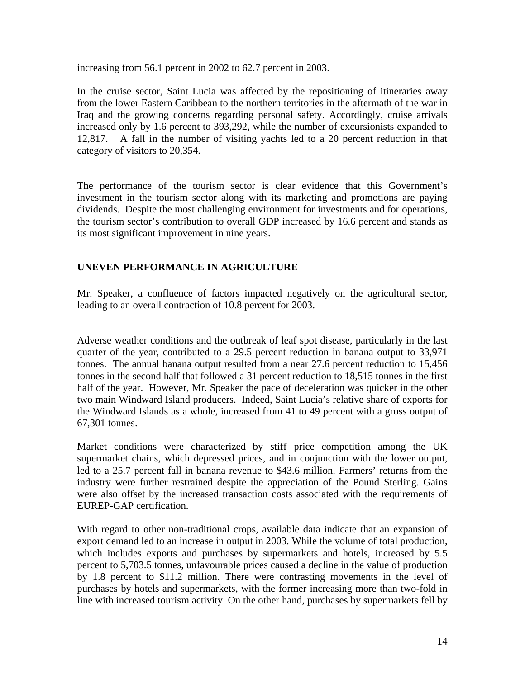<span id="page-13-0"></span>increasing from 56.1 percent in 2002 to 62.7 percent in 2003.

In the cruise sector, Saint Lucia was affected by the repositioning of itineraries away from the lower Eastern Caribbean to the northern territories in the aftermath of the war in Iraq and the growing concerns regarding personal safety. Accordingly, cruise arrivals increased only by 1.6 percent to 393,292, while the number of excursionists expanded to 12,817. A fall in the number of visiting yachts led to a 20 percent reduction in that category of visitors to 20,354.

The performance of the tourism sector is clear evidence that this Government's investment in the tourism sector along with its marketing and promotions are paying dividends. Despite the most challenging environment for investments and for operations, the tourism sector's contribution to overall GDP increased by 16.6 percent and stands as its most significant improvement in nine years.

# **UNEVEN PERFORMANCE IN AGRICULTURE**

Mr. Speaker, a confluence of factors impacted negatively on the agricultural sector, leading to an overall contraction of 10.8 percent for 2003.

Adverse weather conditions and the outbreak of leaf spot disease, particularly in the last quarter of the year, contributed to a 29.5 percent reduction in banana output to 33,971 tonnes. The annual banana output resulted from a near 27.6 percent reduction to 15,456 tonnes in the second half that followed a 31 percent reduction to 18,515 tonnes in the first half of the year. However, Mr. Speaker the pace of deceleration was quicker in the other two main Windward Island producers. Indeed, Saint Lucia's relative share of exports for the Windward Islands as a whole, increased from 41 to 49 percent with a gross output of 67,301 tonnes.

Market conditions were characterized by stiff price competition among the UK supermarket chains, which depressed prices, and in conjunction with the lower output, led to a 25.7 percent fall in banana revenue to \$43.6 million. Farmers' returns from the industry were further restrained despite the appreciation of the Pound Sterling. Gains were also offset by the increased transaction costs associated with the requirements of EUREP-GAP certification.

With regard to other non-traditional crops, available data indicate that an expansion of export demand led to an increase in output in 2003. While the volume of total production, which includes exports and purchases by supermarkets and hotels, increased by 5.5 percent to 5,703.5 tonnes, unfavourable prices caused a decline in the value of production by 1.8 percent to \$11.2 million. There were contrasting movements in the level of purchases by hotels and supermarkets, with the former increasing more than two-fold in line with increased tourism activity. On the other hand, purchases by supermarkets fell by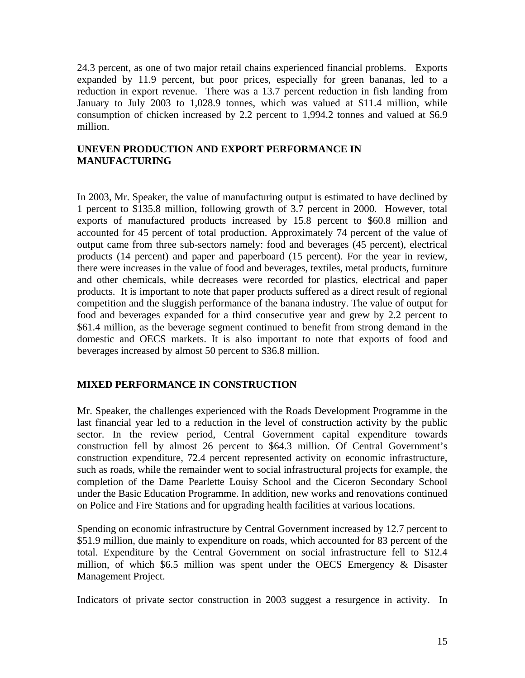<span id="page-14-0"></span>24.3 percent, as one of two major retail chains experienced financial problems. Exports expanded by 11.9 percent, but poor prices, especially for green bananas, led to a reduction in export revenue. There was a 13.7 percent reduction in fish landing from January to July 2003 to 1,028.9 tonnes, which was valued at \$11.4 million, while consumption of chicken increased by 2.2 percent to 1,994.2 tonnes and valued at \$6.9 million.

# **UNEVEN PRODUCTION AND EXPORT PERFORMANCE IN MANUFACTURING**

In 2003, Mr. Speaker, the value of manufacturing output is estimated to have declined by 1 percent to \$135.8 million, following growth of 3.7 percent in 2000. However, total exports of manufactured products increased by 15.8 percent to \$60.8 million and accounted for 45 percent of total production. Approximately 74 percent of the value of output came from three sub-sectors namely: food and beverages (45 percent), electrical products (14 percent) and paper and paperboard (15 percent). For the year in review, there were increases in the value of food and beverages, textiles, metal products, furniture and other chemicals, while decreases were recorded for plastics, electrical and paper products. It is important to note that paper products suffered as a direct result of regional competition and the sluggish performance of the banana industry. The value of output for food and beverages expanded for a third consecutive year and grew by 2.2 percent to \$61.4 million, as the beverage segment continued to benefit from strong demand in the domestic and OECS markets. It is also important to note that exports of food and beverages increased by almost 50 percent to \$36.8 million.

# **MIXED PERFORMANCE IN CONSTRUCTION**

Mr. Speaker, the challenges experienced with the Roads Development Programme in the last financial year led to a reduction in the level of construction activity by the public sector. In the review period, Central Government capital expenditure towards construction fell by almost 26 percent to \$64.3 million. Of Central Government's construction expenditure, 72.4 percent represented activity on economic infrastructure, such as roads, while the remainder went to social infrastructural projects for example, the completion of the Dame Pearlette Louisy School and the Ciceron Secondary School under the Basic Education Programme. In addition, new works and renovations continued on Police and Fire Stations and for upgrading health facilities at various locations.

Spending on economic infrastructure by Central Government increased by 12.7 percent to \$51.9 million, due mainly to expenditure on roads, which accounted for 83 percent of the total. Expenditure by the Central Government on social infrastructure fell to \$12.4 million, of which \$6.5 million was spent under the OECS Emergency & Disaster Management Project.

Indicators of private sector construction in 2003 suggest a resurgence in activity. In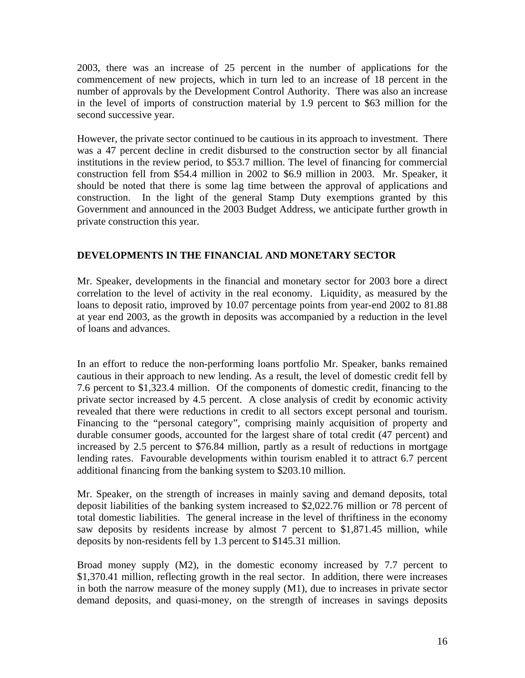<span id="page-15-0"></span>2003, there was an increase of 25 percent in the number of applications for the commencement of new projects, which in turn led to an increase of 18 percent in the number of approvals by the Development Control Authority. There was also an increase in the level of imports of construction material by 1.9 percent to \$63 million for the second successive year.

However, the private sector continued to be cautious in its approach to investment. There was a 47 percent decline in credit disbursed to the construction sector by all financial institutions in the review period, to \$53.7 million. The level of financing for commercial construction fell from \$54.4 million in 2002 to \$6.9 million in 2003. Mr. Speaker, it should be noted that there is some lag time between the approval of applications and construction. In the light of the general Stamp Duty exemptions granted by this Government and announced in the 2003 Budget Address, we anticipate further growth in private construction this year.

# **DEVELOPMENTS IN THE FINANCIAL AND MONETARY SECTOR**

Mr. Speaker, developments in the financial and monetary sector for 2003 bore a direct correlation to the level of activity in the real economy. Liquidity, as measured by the loans to deposit ratio, improved by 10.07 percentage points from year-end 2002 to 81.88 at year end 2003, as the growth in deposits was accompanied by a reduction in the level of loans and advances.

In an effort to reduce the non-performing loans portfolio Mr. Speaker, banks remained cautious in their approach to new lending. As a result, the level of domestic credit fell by 7.6 percent to \$1,323.4 million. Of the components of domestic credit, financing to the private sector increased by 4.5 percent. A close analysis of credit by economic activity revealed that there were reductions in credit to all sectors except personal and tourism. Financing to the "personal category", comprising mainly acquisition of property and durable consumer goods, accounted for the largest share of total credit (47 percent) and increased by 2.5 percent to \$76.84 million, partly as a result of reductions in mortgage lending rates. Favourable developments within tourism enabled it to attract 6.7 percent additional financing from the banking system to \$203.10 million.

Mr. Speaker, on the strength of increases in mainly saving and demand deposits, total deposit liabilities of the banking system increased to \$2,022.76 million or 78 percent of total domestic liabilities. The general increase in the level of thriftiness in the economy saw deposits by residents increase by almost 7 percent to \$1,871.45 million, while deposits by non-residents fell by 1.3 percent to \$145.31 million.

Broad money supply (M2), in the domestic economy increased by 7.7 percent to \$1,370.41 million, reflecting growth in the real sector. In addition, there were increases in both the narrow measure of the money supply (M1), due to increases in private sector demand deposits, and quasi-money, on the strength of increases in savings deposits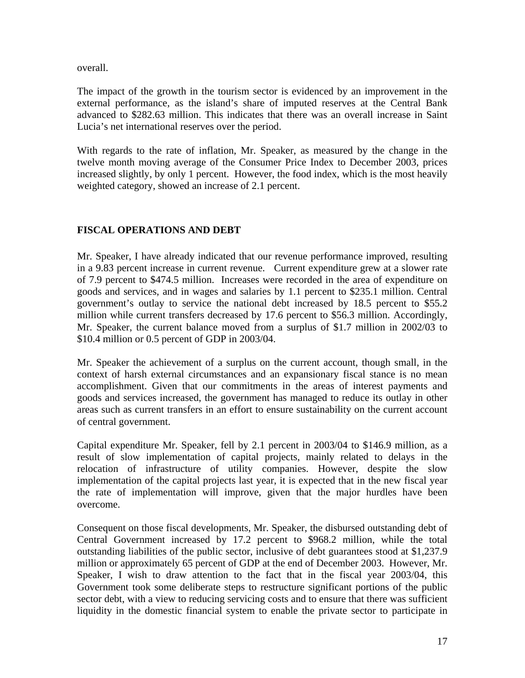<span id="page-16-0"></span>overall.

The impact of the growth in the tourism sector is evidenced by an improvement in the external performance, as the island's share of imputed reserves at the Central Bank advanced to \$282.63 million. This indicates that there was an overall increase in Saint Lucia's net international reserves over the period.

With regards to the rate of inflation, Mr. Speaker, as measured by the change in the twelve month moving average of the Consumer Price Index to December 2003, prices increased slightly, by only 1 percent. However, the food index, which is the most heavily weighted category, showed an increase of 2.1 percent.

# **FISCAL OPERATIONS AND DEBT**

Mr. Speaker, I have already indicated that our revenue performance improved, resulting in a 9.83 percent increase in current revenue. Current expenditure grew at a slower rate of 7.9 percent to \$474.5 million. Increases were recorded in the area of expenditure on goods and services, and in wages and salaries by 1.1 percent to \$235.1 million. Central government's outlay to service the national debt increased by 18.5 percent to \$55.2 million while current transfers decreased by 17.6 percent to \$56.3 million. Accordingly, Mr. Speaker, the current balance moved from a surplus of \$1.7 million in 2002/03 to \$10.4 million or 0.5 percent of GDP in 2003/04.

Mr. Speaker the achievement of a surplus on the current account, though small, in the context of harsh external circumstances and an expansionary fiscal stance is no mean accomplishment. Given that our commitments in the areas of interest payments and goods and services increased, the government has managed to reduce its outlay in other areas such as current transfers in an effort to ensure sustainability on the current account of central government.

Capital expenditure Mr. Speaker, fell by 2.1 percent in 2003/04 to \$146.9 million, as a result of slow implementation of capital projects, mainly related to delays in the relocation of infrastructure of utility companies. However, despite the slow implementation of the capital projects last year, it is expected that in the new fiscal year the rate of implementation will improve, given that the major hurdles have been overcome.

Consequent on those fiscal developments, Mr. Speaker, the disbursed outstanding debt of Central Government increased by 17.2 percent to \$968.2 million, while the total outstanding liabilities of the public sector, inclusive of debt guarantees stood at \$1,237.9 million or approximately 65 percent of GDP at the end of December 2003. However, Mr. Speaker, I wish to draw attention to the fact that in the fiscal year 2003/04, this Government took some deliberate steps to restructure significant portions of the public sector debt, with a view to reducing servicing costs and to ensure that there was sufficient liquidity in the domestic financial system to enable the private sector to participate in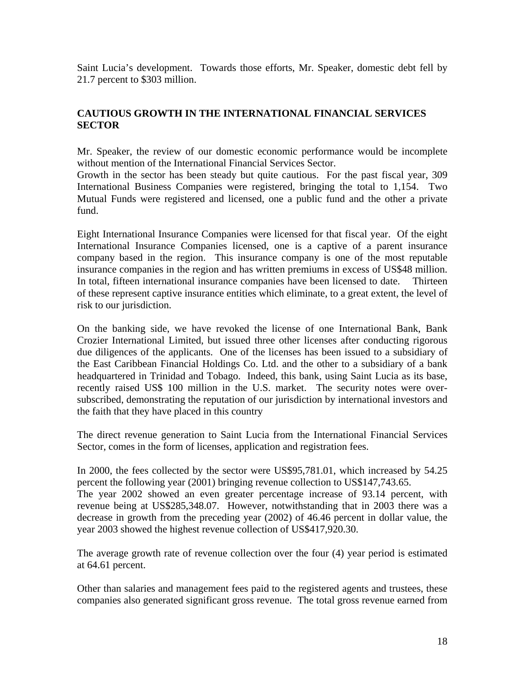<span id="page-17-0"></span>Saint Lucia's development. Towards those efforts, Mr. Speaker, domestic debt fell by 21.7 percent to \$303 million.

# **CAUTIOUS GROWTH IN THE INTERNATIONAL FINANCIAL SERVICES SECTOR**

Mr. Speaker, the review of our domestic economic performance would be incomplete without mention of the International Financial Services Sector.

Growth in the sector has been steady but quite cautious. For the past fiscal year, 309 International Business Companies were registered, bringing the total to 1,154. Two Mutual Funds were registered and licensed, one a public fund and the other a private fund.

Eight International Insurance Companies were licensed for that fiscal year. Of the eight International Insurance Companies licensed, one is a captive of a parent insurance company based in the region. This insurance company is one of the most reputable insurance companies in the region and has written premiums in excess of US\$48 million. In total, fifteen international insurance companies have been licensed to date. Thirteen of these represent captive insurance entities which eliminate, to a great extent, the level of risk to our jurisdiction.

On the banking side, we have revoked the license of one International Bank, Bank Crozier International Limited, but issued three other licenses after conducting rigorous due diligences of the applicants. One of the licenses has been issued to a subsidiary of the East Caribbean Financial Holdings Co. Ltd. and the other to a subsidiary of a bank headquartered in Trinidad and Tobago. Indeed, this bank, using Saint Lucia as its base, recently raised US\$ 100 million in the U.S. market. The security notes were oversubscribed, demonstrating the reputation of our jurisdiction by international investors and the faith that they have placed in this country

The direct revenue generation to Saint Lucia from the International Financial Services Sector, comes in the form of licenses, application and registration fees.

In 2000, the fees collected by the sector were US\$95,781.01, which increased by 54.25 percent the following year (2001) bringing revenue collection to US\$147,743.65. The year 2002 showed an even greater percentage increase of 93.14 percent, with revenue being at US\$285,348.07. However, notwithstanding that in 2003 there was a decrease in growth from the preceding year (2002) of 46.46 percent in dollar value, the year 2003 showed the highest revenue collection of US\$417,920.30.

The average growth rate of revenue collection over the four (4) year period is estimated at 64.61 percent.

Other than salaries and management fees paid to the registered agents and trustees, these companies also generated significant gross revenue. The total gross revenue earned from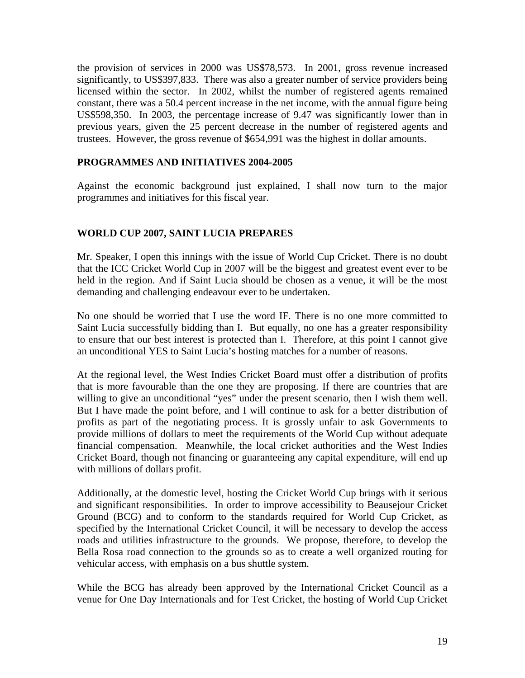<span id="page-18-0"></span>the provision of services in 2000 was US\$78,573. In 2001, gross revenue increased significantly, to US\$397,833. There was also a greater number of service providers being licensed within the sector. In 2002, whilst the number of registered agents remained constant, there was a 50.4 percent increase in the net income, with the annual figure being US\$598,350. In 2003, the percentage increase of 9.47 was significantly lower than in previous years, given the 25 percent decrease in the number of registered agents and trustees. However, the gross revenue of \$654,991 was the highest in dollar amounts.

### **PROGRAMMES AND INITIATIVES 2004-2005**

Against the economic background just explained, I shall now turn to the major programmes and initiatives for this fiscal year.

# **WORLD CUP 2007, SAINT LUCIA PREPARES**

Mr. Speaker, I open this innings with the issue of World Cup Cricket. There is no doubt that the ICC Cricket World Cup in 2007 will be the biggest and greatest event ever to be held in the region. And if Saint Lucia should be chosen as a venue, it will be the most demanding and challenging endeavour ever to be undertaken.

No one should be worried that I use the word IF. There is no one more committed to Saint Lucia successfully bidding than I. But equally, no one has a greater responsibility to ensure that our best interest is protected than I. Therefore, at this point I cannot give an unconditional YES to Saint Lucia's hosting matches for a number of reasons.

At the regional level, the West Indies Cricket Board must offer a distribution of profits that is more favourable than the one they are proposing. If there are countries that are willing to give an unconditional "yes" under the present scenario, then I wish them well. But I have made the point before, and I will continue to ask for a better distribution of profits as part of the negotiating process. It is grossly unfair to ask Governments to provide millions of dollars to meet the requirements of the World Cup without adequate financial compensation. Meanwhile, the local cricket authorities and the West Indies Cricket Board, though not financing or guaranteeing any capital expenditure, will end up with millions of dollars profit.

Additionally, at the domestic level, hosting the Cricket World Cup brings with it serious and significant responsibilities. In order to improve accessibility to Beausejour Cricket Ground (BCG) and to conform to the standards required for World Cup Cricket, as specified by the International Cricket Council, it will be necessary to develop the access roads and utilities infrastructure to the grounds. We propose, therefore, to develop the Bella Rosa road connection to the grounds so as to create a well organized routing for vehicular access, with emphasis on a bus shuttle system.

While the BCG has already been approved by the International Cricket Council as a venue for One Day Internationals and for Test Cricket, the hosting of World Cup Cricket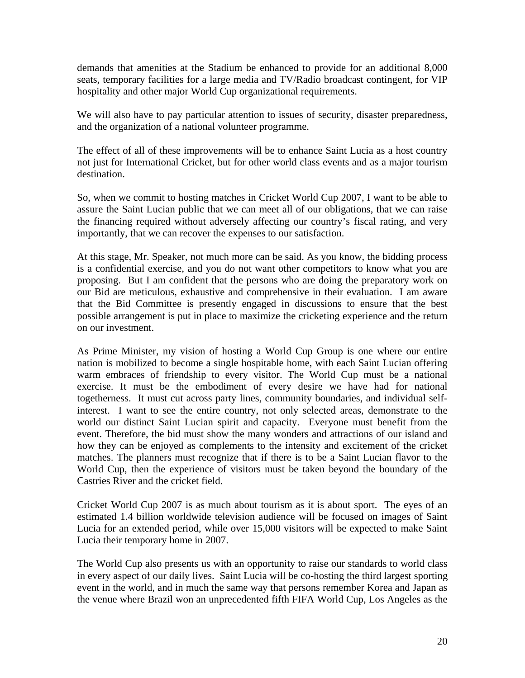demands that amenities at the Stadium be enhanced to provide for an additional 8,000 seats, temporary facilities for a large media and TV/Radio broadcast contingent, for VIP hospitality and other major World Cup organizational requirements.

We will also have to pay particular attention to issues of security, disaster preparedness, and the organization of a national volunteer programme.

The effect of all of these improvements will be to enhance Saint Lucia as a host country not just for International Cricket, but for other world class events and as a major tourism destination.

So, when we commit to hosting matches in Cricket World Cup 2007, I want to be able to assure the Saint Lucian public that we can meet all of our obligations, that we can raise the financing required without adversely affecting our country's fiscal rating, and very importantly, that we can recover the expenses to our satisfaction.

At this stage, Mr. Speaker, not much more can be said. As you know, the bidding process is a confidential exercise, and you do not want other competitors to know what you are proposing. But I am confident that the persons who are doing the preparatory work on our Bid are meticulous, exhaustive and comprehensive in their evaluation. I am aware that the Bid Committee is presently engaged in discussions to ensure that the best possible arrangement is put in place to maximize the cricketing experience and the return on our investment.

As Prime Minister, my vision of hosting a World Cup Group is one where our entire nation is mobilized to become a single hospitable home, with each Saint Lucian offering warm embraces of friendship to every visitor. The World Cup must be a national exercise. It must be the embodiment of every desire we have had for national togetherness. It must cut across party lines, community boundaries, and individual selfinterest. I want to see the entire country, not only selected areas, demonstrate to the world our distinct Saint Lucian spirit and capacity. Everyone must benefit from the event. Therefore, the bid must show the many wonders and attractions of our island and how they can be enjoyed as complements to the intensity and excitement of the cricket matches. The planners must recognize that if there is to be a Saint Lucian flavor to the World Cup, then the experience of visitors must be taken beyond the boundary of the Castries River and the cricket field.

Cricket World Cup 2007 is as much about tourism as it is about sport. The eyes of an estimated 1.4 billion worldwide television audience will be focused on images of Saint Lucia for an extended period, while over 15,000 visitors will be expected to make Saint Lucia their temporary home in 2007.

The World Cup also presents us with an opportunity to raise our standards to world class in every aspect of our daily lives. Saint Lucia will be co-hosting the third largest sporting event in the world, and in much the same way that persons remember Korea and Japan as the venue where Brazil won an unprecedented fifth FIFA World Cup, Los Angeles as the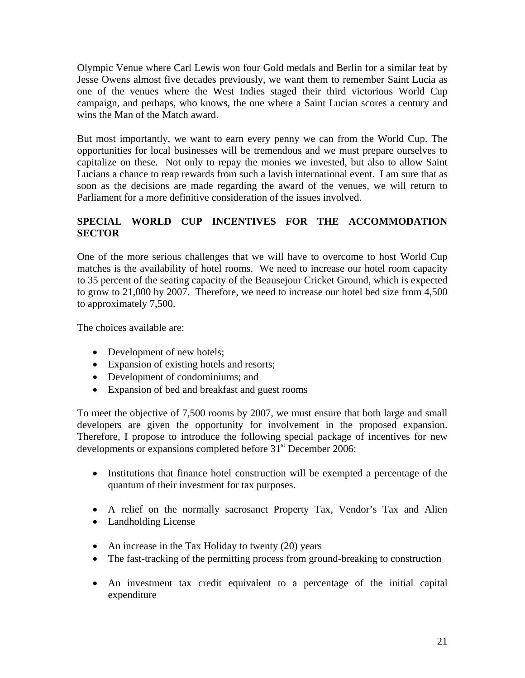<span id="page-20-0"></span>Olympic Venue where Carl Lewis won four Gold medals and Berlin for a similar feat by Jesse Owens almost five decades previously, we want them to remember Saint Lucia as one of the venues where the West Indies staged their third victorious World Cup campaign, and perhaps, who knows, the one where a Saint Lucian scores a century and wins the Man of the Match award.

But most importantly, we want to earn every penny we can from the World Cup. The opportunities for local businesses will be tremendous and we must prepare ourselves to capitalize on these. Not only to repay the monies we invested, but also to allow Saint Lucians a chance to reap rewards from such a lavish international event. I am sure that as soon as the decisions are made regarding the award of the venues, we will return to Parliament for a more definitive consideration of the issues involved.

# **SPECIAL WORLD CUP INCENTIVES FOR THE ACCOMMODATION SECTOR**

One of the more serious challenges that we will have to overcome to host World Cup matches is the availability of hotel rooms. We need to increase our hotel room capacity to 35 percent of the seating capacity of the Beausejour Cricket Ground, which is expected to grow to 21,000 by 2007. Therefore, we need to increase our hotel bed size from 4,500 to approximately 7,500.

The choices available are:

- Development of new hotels;
- Expansion of existing hotels and resorts;
- Development of condominiums; and
- Expansion of bed and breakfast and guest rooms

To meet the objective of 7,500 rooms by 2007, we must ensure that both large and small developers are given the opportunity for involvement in the proposed expansion. Therefore, I propose to introduce the following special package of incentives for new developments or expansions completed before 31<sup>st</sup> December 2006:

- Institutions that finance hotel construction will be exempted a percentage of the quantum of their investment for tax purposes.
- A relief on the normally sacrosanct Property Tax, Vendor's Tax and Alien
- Landholding License
- An increase in the Tax Holiday to twenty (20) years
- The fast-tracking of the permitting process from ground-breaking to construction
- An investment tax credit equivalent to a percentage of the initial capital expenditure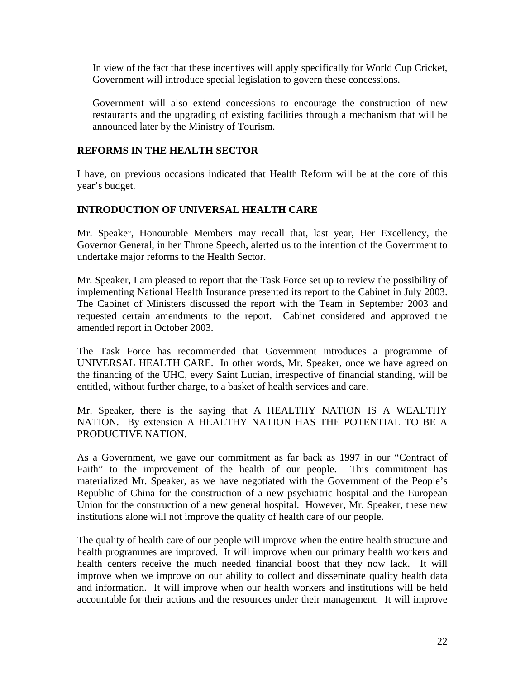<span id="page-21-0"></span>In view of the fact that these incentives will apply specifically for World Cup Cricket, Government will introduce special legislation to govern these concessions.

Government will also extend concessions to encourage the construction of new restaurants and the upgrading of existing facilities through a mechanism that will be announced later by the Ministry of Tourism.

#### **REFORMS IN THE HEALTH SECTOR**

I have, on previous occasions indicated that Health Reform will be at the core of this year's budget.

#### **INTRODUCTION OF UNIVERSAL HEALTH CARE**

Mr. Speaker, Honourable Members may recall that, last year, Her Excellency, the Governor General, in her Throne Speech, alerted us to the intention of the Government to undertake major reforms to the Health Sector.

Mr. Speaker, I am pleased to report that the Task Force set up to review the possibility of implementing National Health Insurance presented its report to the Cabinet in July 2003. The Cabinet of Ministers discussed the report with the Team in September 2003 and requested certain amendments to the report. Cabinet considered and approved the amended report in October 2003.

The Task Force has recommended that Government introduces a programme of UNIVERSAL HEALTH CARE. In other words, Mr. Speaker, once we have agreed on the financing of the UHC, every Saint Lucian, irrespective of financial standing, will be entitled, without further charge, to a basket of health services and care.

Mr. Speaker, there is the saying that A HEALTHY NATION IS A WEALTHY NATION. By extension A HEALTHY NATION HAS THE POTENTIAL TO BE A PRODUCTIVE NATION.

As a Government, we gave our commitment as far back as 1997 in our "Contract of Faith" to the improvement of the health of our people. This commitment has materialized Mr. Speaker, as we have negotiated with the Government of the People's Republic of China for the construction of a new psychiatric hospital and the European Union for the construction of a new general hospital. However, Mr. Speaker, these new institutions alone will not improve the quality of health care of our people.

The quality of health care of our people will improve when the entire health structure and health programmes are improved. It will improve when our primary health workers and health centers receive the much needed financial boost that they now lack. It will improve when we improve on our ability to collect and disseminate quality health data and information. It will improve when our health workers and institutions will be held accountable for their actions and the resources under their management. It will improve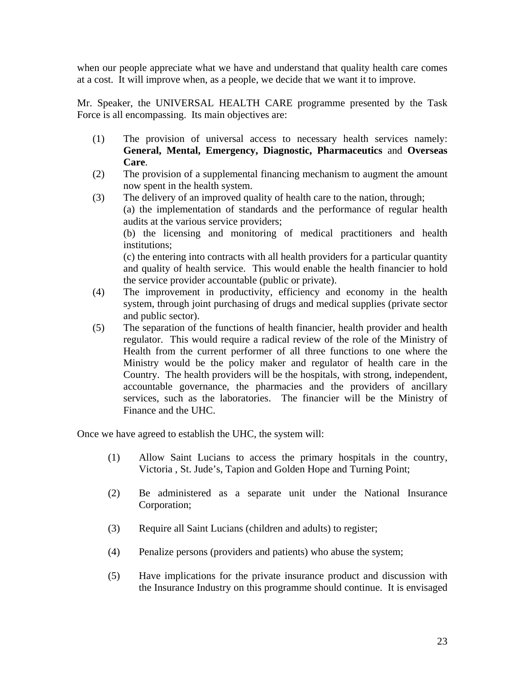when our people appreciate what we have and understand that quality health care comes at a cost. It will improve when, as a people, we decide that we want it to improve.

Mr. Speaker, the UNIVERSAL HEALTH CARE programme presented by the Task Force is all encompassing. Its main objectives are:

- (1) The provision of universal access to necessary health services namely: **General, Mental, Emergency, Diagnostic, Pharmaceutics** and **Overseas Care**.
- (2) The provision of a supplemental financing mechanism to augment the amount now spent in the health system.
- (3) The delivery of an improved quality of health care to the nation, through; (a) the implementation of standards and the performance of regular health audits at the various service providers; (b) the licensing and monitoring of medical practitioners and health institutions; (c) the entering into contracts with all health providers for a particular quantity and quality of health service. This would enable the health financier to hold the service provider accountable (public or private).
- (4) The improvement in productivity, efficiency and economy in the health system, through joint purchasing of drugs and medical supplies (private sector and public sector).
- (5) The separation of the functions of health financier, health provider and health regulator. This would require a radical review of the role of the Ministry of Health from the current performer of all three functions to one where the Ministry would be the policy maker and regulator of health care in the Country. The health providers will be the hospitals, with strong, independent, accountable governance, the pharmacies and the providers of ancillary services, such as the laboratories. The financier will be the Ministry of Finance and the UHC.

Once we have agreed to establish the UHC, the system will:

- (1) Allow Saint Lucians to access the primary hospitals in the country, Victoria , St. Jude's, Tapion and Golden Hope and Turning Point;
- (2) Be administered as a separate unit under the National Insurance Corporation;
- (3) Require all Saint Lucians (children and adults) to register;
- (4) Penalize persons (providers and patients) who abuse the system;
- (5) Have implications for the private insurance product and discussion with the Insurance Industry on this programme should continue. It is envisaged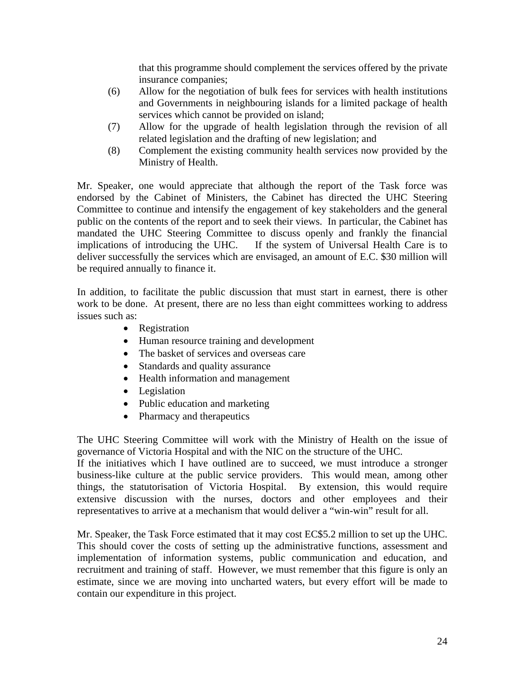that this programme should complement the services offered by the private insurance companies;

- (6) Allow for the negotiation of bulk fees for services with health institutions and Governments in neighbouring islands for a limited package of health services which cannot be provided on island;
- (7) Allow for the upgrade of health legislation through the revision of all related legislation and the drafting of new legislation; and
- (8) Complement the existing community health services now provided by the Ministry of Health.

Mr. Speaker, one would appreciate that although the report of the Task force was endorsed by the Cabinet of Ministers, the Cabinet has directed the UHC Steering Committee to continue and intensify the engagement of key stakeholders and the general public on the contents of the report and to seek their views. In particular, the Cabinet has mandated the UHC Steering Committee to discuss openly and frankly the financial implications of introducing the UHC. If the system of Universal Health Care is to deliver successfully the services which are envisaged, an amount of E.C. \$30 million will be required annually to finance it.

In addition, to facilitate the public discussion that must start in earnest, there is other work to be done. At present, there are no less than eight committees working to address issues such as:

- Registration
- Human resource training and development
- The basket of services and overseas care
- Standards and quality assurance
- Health information and management
- Legislation
- Public education and marketing
- Pharmacy and therapeutics

The UHC Steering Committee will work with the Ministry of Health on the issue of governance of Victoria Hospital and with the NIC on the structure of the UHC.

If the initiatives which I have outlined are to succeed, we must introduce a stronger business-like culture at the public service providers. This would mean, among other things, the statutorisation of Victoria Hospital. By extension, this would require extensive discussion with the nurses, doctors and other employees and their representatives to arrive at a mechanism that would deliver a "win-win" result for all.

Mr. Speaker, the Task Force estimated that it may cost EC\$5.2 million to set up the UHC. This should cover the costs of setting up the administrative functions, assessment and implementation of information systems, public communication and education, and recruitment and training of staff. However, we must remember that this figure is only an estimate, since we are moving into uncharted waters, but every effort will be made to contain our expenditure in this project.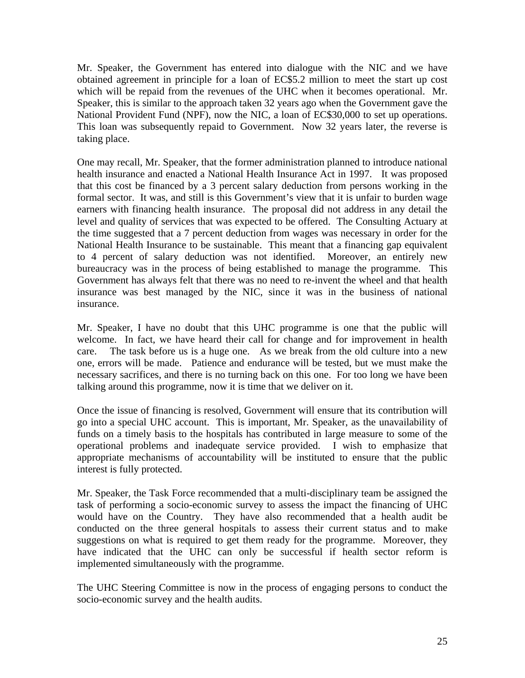Mr. Speaker, the Government has entered into dialogue with the NIC and we have obtained agreement in principle for a loan of EC\$5.2 million to meet the start up cost which will be repaid from the revenues of the UHC when it becomes operational. Mr. Speaker, this is similar to the approach taken 32 years ago when the Government gave the National Provident Fund (NPF), now the NIC, a loan of EC\$30,000 to set up operations. This loan was subsequently repaid to Government. Now 32 years later, the reverse is taking place.

One may recall, Mr. Speaker, that the former administration planned to introduce national health insurance and enacted a National Health Insurance Act in 1997. It was proposed that this cost be financed by a 3 percent salary deduction from persons working in the formal sector. It was, and still is this Government's view that it is unfair to burden wage earners with financing health insurance. The proposal did not address in any detail the level and quality of services that was expected to be offered. The Consulting Actuary at the time suggested that a 7 percent deduction from wages was necessary in order for the National Health Insurance to be sustainable. This meant that a financing gap equivalent to 4 percent of salary deduction was not identified. Moreover, an entirely new bureaucracy was in the process of being established to manage the programme. This Government has always felt that there was no need to re-invent the wheel and that health insurance was best managed by the NIC, since it was in the business of national insurance.

Mr. Speaker, I have no doubt that this UHC programme is one that the public will welcome. In fact, we have heard their call for change and for improvement in health care. The task before us is a huge one. As we break from the old culture into a new one, errors will be made. Patience and endurance will be tested, but we must make the necessary sacrifices, and there is no turning back on this one. For too long we have been talking around this programme, now it is time that we deliver on it.

Once the issue of financing is resolved, Government will ensure that its contribution will go into a special UHC account. This is important, Mr. Speaker, as the unavailability of funds on a timely basis to the hospitals has contributed in large measure to some of the operational problems and inadequate service provided. I wish to emphasize that appropriate mechanisms of accountability will be instituted to ensure that the public interest is fully protected.

Mr. Speaker, the Task Force recommended that a multi-disciplinary team be assigned the task of performing a socio-economic survey to assess the impact the financing of UHC would have on the Country. They have also recommended that a health audit be conducted on the three general hospitals to assess their current status and to make suggestions on what is required to get them ready for the programme. Moreover, they have indicated that the UHC can only be successful if health sector reform is implemented simultaneously with the programme.

The UHC Steering Committee is now in the process of engaging persons to conduct the socio-economic survey and the health audits.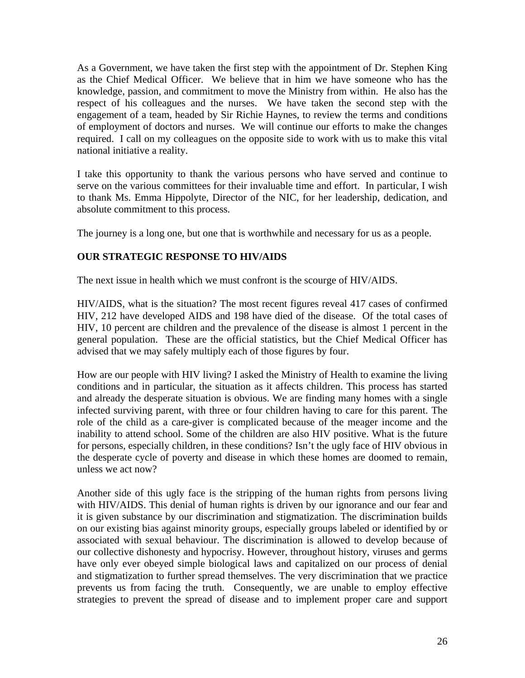<span id="page-25-0"></span>As a Government, we have taken the first step with the appointment of Dr. Stephen King as the Chief Medical Officer. We believe that in him we have someone who has the knowledge, passion, and commitment to move the Ministry from within. He also has the respect of his colleagues and the nurses. We have taken the second step with the engagement of a team, headed by Sir Richie Haynes, to review the terms and conditions of employment of doctors and nurses. We will continue our efforts to make the changes required. I call on my colleagues on the opposite side to work with us to make this vital national initiative a reality.

I take this opportunity to thank the various persons who have served and continue to serve on the various committees for their invaluable time and effort. In particular, I wish to thank Ms. Emma Hippolyte, Director of the NIC, for her leadership, dedication, and absolute commitment to this process.

The journey is a long one, but one that is worthwhile and necessary for us as a people.

# **OUR STRATEGIC RESPONSE TO HIV/AIDS**

The next issue in health which we must confront is the scourge of HIV/AIDS.

HIV/AIDS, what is the situation? The most recent figures reveal 417 cases of confirmed HIV, 212 have developed AIDS and 198 have died of the disease. Of the total cases of HIV, 10 percent are children and the prevalence of the disease is almost 1 percent in the general population. These are the official statistics, but the Chief Medical Officer has advised that we may safely multiply each of those figures by four.

How are our people with HIV living? I asked the Ministry of Health to examine the living conditions and in particular, the situation as it affects children. This process has started and already the desperate situation is obvious. We are finding many homes with a single infected surviving parent, with three or four children having to care for this parent. The role of the child as a care-giver is complicated because of the meager income and the inability to attend school. Some of the children are also HIV positive. What is the future for persons, especially children, in these conditions? Isn't the ugly face of HIV obvious in the desperate cycle of poverty and disease in which these homes are doomed to remain, unless we act now?

Another side of this ugly face is the stripping of the human rights from persons living with HIV/AIDS. This denial of human rights is driven by our ignorance and our fear and it is given substance by our discrimination and stigmatization. The discrimination builds on our existing bias against minority groups, especially groups labeled or identified by or associated with sexual behaviour. The discrimination is allowed to develop because of our collective dishonesty and hypocrisy. However, throughout history, viruses and germs have only ever obeyed simple biological laws and capitalized on our process of denial and stigmatization to further spread themselves. The very discrimination that we practice prevents us from facing the truth. Consequently, we are unable to employ effective strategies to prevent the spread of disease and to implement proper care and support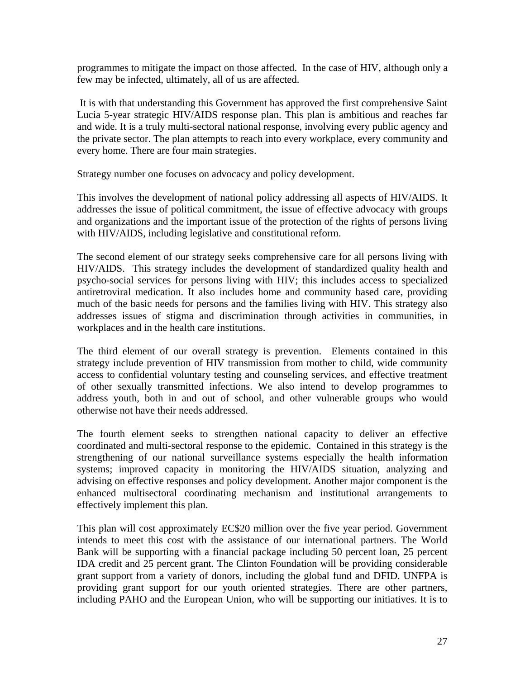programmes to mitigate the impact on those affected. In the case of HIV, although only a few may be infected, ultimately, all of us are affected.

 It is with that understanding this Government has approved the first comprehensive Saint Lucia 5-year strategic HIV/AIDS response plan. This plan is ambitious and reaches far and wide. It is a truly multi-sectoral national response, involving every public agency and the private sector. The plan attempts to reach into every workplace, every community and every home. There are four main strategies.

Strategy number one focuses on advocacy and policy development.

This involves the development of national policy addressing all aspects of HIV/AIDS. It addresses the issue of political commitment, the issue of effective advocacy with groups and organizations and the important issue of the protection of the rights of persons living with HIV/AIDS, including legislative and constitutional reform.

The second element of our strategy seeks comprehensive care for all persons living with HIV/AIDS. This strategy includes the development of standardized quality health and psycho-social services for persons living with HIV; this includes access to specialized antiretroviral medication. It also includes home and community based care, providing much of the basic needs for persons and the families living with HIV. This strategy also addresses issues of stigma and discrimination through activities in communities, in workplaces and in the health care institutions.

The third element of our overall strategy is prevention. Elements contained in this strategy include prevention of HIV transmission from mother to child, wide community access to confidential voluntary testing and counseling services, and effective treatment of other sexually transmitted infections. We also intend to develop programmes to address youth, both in and out of school, and other vulnerable groups who would otherwise not have their needs addressed.

The fourth element seeks to strengthen national capacity to deliver an effective coordinated and multi-sectoral response to the epidemic. Contained in this strategy is the strengthening of our national surveillance systems especially the health information systems; improved capacity in monitoring the HIV/AIDS situation, analyzing and advising on effective responses and policy development. Another major component is the enhanced multisectoral coordinating mechanism and institutional arrangements to effectively implement this plan.

This plan will cost approximately EC\$20 million over the five year period. Government intends to meet this cost with the assistance of our international partners. The World Bank will be supporting with a financial package including 50 percent loan, 25 percent IDA credit and 25 percent grant. The Clinton Foundation will be providing considerable grant support from a variety of donors, including the global fund and DFID. UNFPA is providing grant support for our youth oriented strategies. There are other partners, including PAHO and the European Union, who will be supporting our initiatives. It is to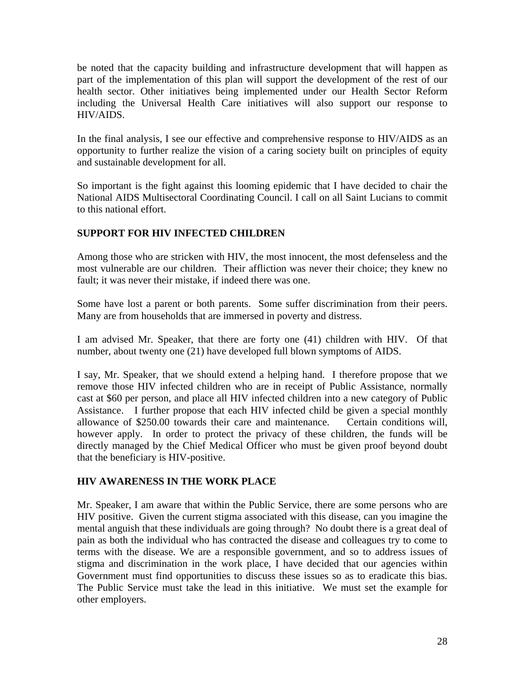<span id="page-27-0"></span>be noted that the capacity building and infrastructure development that will happen as part of the implementation of this plan will support the development of the rest of our health sector. Other initiatives being implemented under our Health Sector Reform including the Universal Health Care initiatives will also support our response to HIV/AIDS.

In the final analysis, I see our effective and comprehensive response to HIV/AIDS as an opportunity to further realize the vision of a caring society built on principles of equity and sustainable development for all.

So important is the fight against this looming epidemic that I have decided to chair the National AIDS Multisectoral Coordinating Council. I call on all Saint Lucians to commit to this national effort.

# **SUPPORT FOR HIV INFECTED CHILDREN**

Among those who are stricken with HIV, the most innocent, the most defenseless and the most vulnerable are our children. Their affliction was never their choice; they knew no fault; it was never their mistake, if indeed there was one.

Some have lost a parent or both parents. Some suffer discrimination from their peers. Many are from households that are immersed in poverty and distress.

I am advised Mr. Speaker, that there are forty one (41) children with HIV. Of that number, about twenty one (21) have developed full blown symptoms of AIDS.

I say, Mr. Speaker, that we should extend a helping hand. I therefore propose that we remove those HIV infected children who are in receipt of Public Assistance, normally cast at \$60 per person, and place all HIV infected children into a new category of Public Assistance. I further propose that each HIV infected child be given a special monthly allowance of \$250.00 towards their care and maintenance. Certain conditions will, however apply. In order to protect the privacy of these children, the funds will be directly managed by the Chief Medical Officer who must be given proof beyond doubt that the beneficiary is HIV-positive.

# **HIV AWARENESS IN THE WORK PLACE**

Mr. Speaker, I am aware that within the Public Service, there are some persons who are HIV positive. Given the current stigma associated with this disease, can you imagine the mental anguish that these individuals are going through? No doubt there is a great deal of pain as both the individual who has contracted the disease and colleagues try to come to terms with the disease. We are a responsible government, and so to address issues of stigma and discrimination in the work place, I have decided that our agencies within Government must find opportunities to discuss these issues so as to eradicate this bias. The Public Service must take the lead in this initiative. We must set the example for other employers.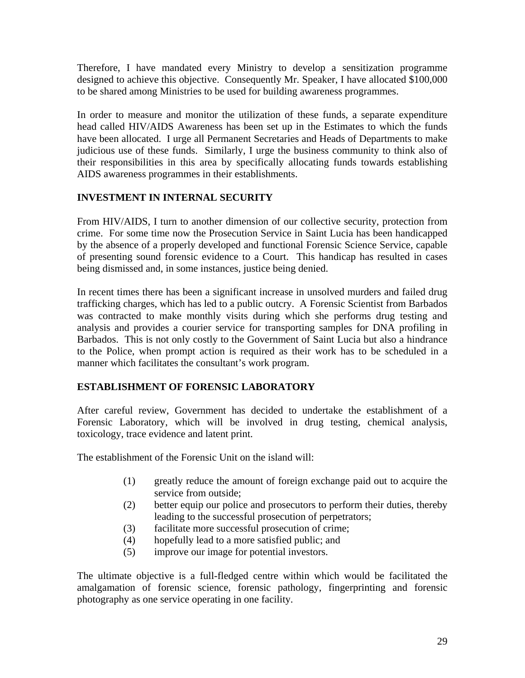<span id="page-28-0"></span>Therefore, I have mandated every Ministry to develop a sensitization programme designed to achieve this objective. Consequently Mr. Speaker, I have allocated \$100,000 to be shared among Ministries to be used for building awareness programmes.

In order to measure and monitor the utilization of these funds, a separate expenditure head called HIV/AIDS Awareness has been set up in the Estimates to which the funds have been allocated. I urge all Permanent Secretaries and Heads of Departments to make judicious use of these funds. Similarly, I urge the business community to think also of their responsibilities in this area by specifically allocating funds towards establishing AIDS awareness programmes in their establishments.

# **INVESTMENT IN INTERNAL SECURITY**

From HIV/AIDS, I turn to another dimension of our collective security, protection from crime. For some time now the Prosecution Service in Saint Lucia has been handicapped by the absence of a properly developed and functional Forensic Science Service, capable of presenting sound forensic evidence to a Court. This handicap has resulted in cases being dismissed and, in some instances, justice being denied.

In recent times there has been a significant increase in unsolved murders and failed drug trafficking charges, which has led to a public outcry. A Forensic Scientist from Barbados was contracted to make monthly visits during which she performs drug testing and analysis and provides a courier service for transporting samples for DNA profiling in Barbados. This is not only costly to the Government of Saint Lucia but also a hindrance to the Police, when prompt action is required as their work has to be scheduled in a manner which facilitates the consultant's work program.

# **ESTABLISHMENT OF FORENSIC LABORATORY**

After careful review, Government has decided to undertake the establishment of a Forensic Laboratory, which will be involved in drug testing, chemical analysis, toxicology, trace evidence and latent print.

The establishment of the Forensic Unit on the island will:

- (1) greatly reduce the amount of foreign exchange paid out to acquire the service from outside;
- (2) better equip our police and prosecutors to perform their duties, thereby leading to the successful prosecution of perpetrators;
- (3) facilitate more successful prosecution of crime;
- (4) hopefully lead to a more satisfied public; and
- (5) improve our image for potential investors.

The ultimate objective is a full-fledged centre within which would be facilitated the amalgamation of forensic science, forensic pathology, fingerprinting and forensic photography as one service operating in one facility.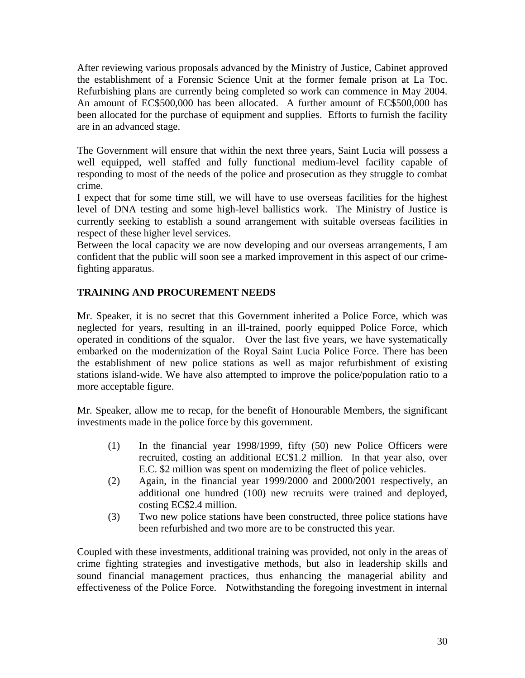<span id="page-29-0"></span>After reviewing various proposals advanced by the Ministry of Justice, Cabinet approved the establishment of a Forensic Science Unit at the former female prison at La Toc. Refurbishing plans are currently being completed so work can commence in May 2004. An amount of EC\$500,000 has been allocated. A further amount of EC\$500,000 has been allocated for the purchase of equipment and supplies. Efforts to furnish the facility are in an advanced stage.

The Government will ensure that within the next three years, Saint Lucia will possess a well equipped, well staffed and fully functional medium-level facility capable of responding to most of the needs of the police and prosecution as they struggle to combat crime.

I expect that for some time still, we will have to use overseas facilities for the highest level of DNA testing and some high-level ballistics work. The Ministry of Justice is currently seeking to establish a sound arrangement with suitable overseas facilities in respect of these higher level services.

Between the local capacity we are now developing and our overseas arrangements, I am confident that the public will soon see a marked improvement in this aspect of our crimefighting apparatus.

# **TRAINING AND PROCUREMENT NEEDS**

Mr. Speaker, it is no secret that this Government inherited a Police Force, which was neglected for years, resulting in an ill-trained, poorly equipped Police Force, which operated in conditions of the squalor. Over the last five years, we have systematically embarked on the modernization of the Royal Saint Lucia Police Force. There has been the establishment of new police stations as well as major refurbishment of existing stations island-wide. We have also attempted to improve the police/population ratio to a more acceptable figure.

Mr. Speaker, allow me to recap, for the benefit of Honourable Members, the significant investments made in the police force by this government.

- (1) In the financial year 1998/1999, fifty (50) new Police Officers were recruited, costing an additional EC\$1.2 million. In that year also, over E.C. \$2 million was spent on modernizing the fleet of police vehicles.
- (2) Again, in the financial year 1999/2000 and 2000/2001 respectively, an additional one hundred (100) new recruits were trained and deployed, costing EC\$2.4 million.
- (3) Two new police stations have been constructed, three police stations have been refurbished and two more are to be constructed this year.

Coupled with these investments, additional training was provided, not only in the areas of crime fighting strategies and investigative methods, but also in leadership skills and sound financial management practices, thus enhancing the managerial ability and effectiveness of the Police Force. Notwithstanding the foregoing investment in internal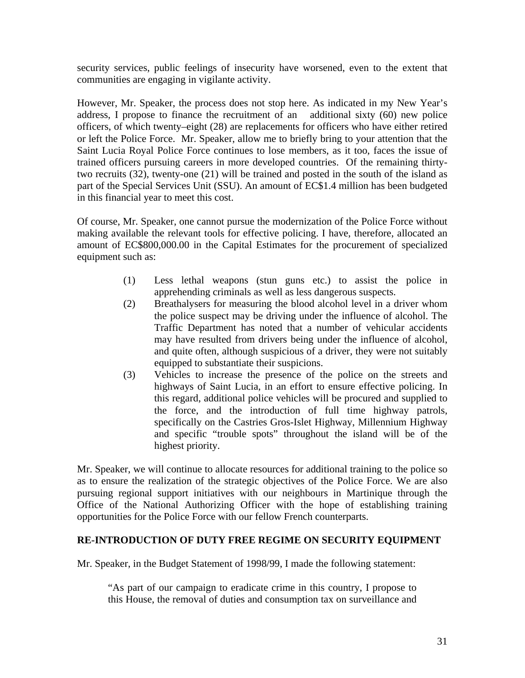<span id="page-30-0"></span>security services, public feelings of insecurity have worsened, even to the extent that communities are engaging in vigilante activity.

However, Mr. Speaker, the process does not stop here. As indicated in my New Year's address, I propose to finance the recruitment of an additional sixty (60) new police officers, of which twenty–eight (28) are replacements for officers who have either retired or left the Police Force. Mr. Speaker, allow me to briefly bring to your attention that the Saint Lucia Royal Police Force continues to lose members, as it too, faces the issue of trained officers pursuing careers in more developed countries. Of the remaining thirtytwo recruits (32), twenty-one (21) will be trained and posted in the south of the island as part of the Special Services Unit (SSU). An amount of EC\$1.4 million has been budgeted in this financial year to meet this cost.

Of course, Mr. Speaker, one cannot pursue the modernization of the Police Force without making available the relevant tools for effective policing. I have, therefore, allocated an amount of EC\$800,000.00 in the Capital Estimates for the procurement of specialized equipment such as:

- (1) Less lethal weapons (stun guns etc.) to assist the police in apprehending criminals as well as less dangerous suspects.
- (2) Breathalysers for measuring the blood alcohol level in a driver whom the police suspect may be driving under the influence of alcohol. The Traffic Department has noted that a number of vehicular accidents may have resulted from drivers being under the influence of alcohol, and quite often, although suspicious of a driver, they were not suitably equipped to substantiate their suspicions.
- (3) Vehicles to increase the presence of the police on the streets and highways of Saint Lucia, in an effort to ensure effective policing. In this regard, additional police vehicles will be procured and supplied to the force, and the introduction of full time highway patrols, specifically on the Castries Gros-Islet Highway, Millennium Highway and specific "trouble spots" throughout the island will be of the highest priority.

Mr. Speaker, we will continue to allocate resources for additional training to the police so as to ensure the realization of the strategic objectives of the Police Force. We are also pursuing regional support initiatives with our neighbours in Martinique through the Office of the National Authorizing Officer with the hope of establishing training opportunities for the Police Force with our fellow French counterparts.

#### **RE-INTRODUCTION OF DUTY FREE REGIME ON SECURITY EQUIPMENT**

Mr. Speaker, in the Budget Statement of 1998/99, I made the following statement:

"As part of our campaign to eradicate crime in this country, I propose to this House, the removal of duties and consumption tax on surveillance and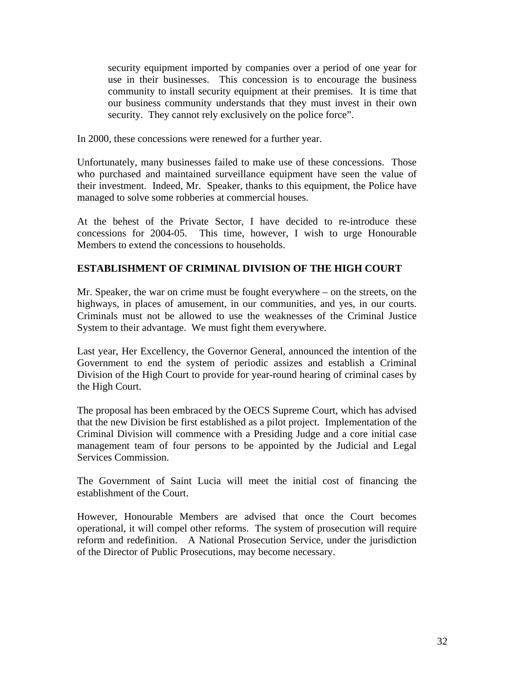<span id="page-31-0"></span>security equipment imported by companies over a period of one year for use in their businesses. This concession is to encourage the business community to install security equipment at their premises. It is time that our business community understands that they must invest in their own security. They cannot rely exclusively on the police force".

In 2000, these concessions were renewed for a further year.

Unfortunately, many businesses failed to make use of these concessions. Those who purchased and maintained surveillance equipment have seen the value of their investment. Indeed, Mr. Speaker, thanks to this equipment, the Police have managed to solve some robberies at commercial houses.

At the behest of the Private Sector, I have decided to re-introduce these concessions for 2004-05. This time, however, I wish to urge Honourable Members to extend the concessions to households.

# **ESTABLISHMENT OF CRIMINAL DIVISION OF THE HIGH COURT**

Mr. Speaker, the war on crime must be fought everywhere – on the streets, on the highways, in places of amusement, in our communities, and yes, in our courts. Criminals must not be allowed to use the weaknesses of the Criminal Justice System to their advantage. We must fight them everywhere.

Last year, Her Excellency, the Governor General, announced the intention of the Government to end the system of periodic assizes and establish a Criminal Division of the High Court to provide for year-round hearing of criminal cases by the High Court.

The proposal has been embraced by the OECS Supreme Court, which has advised that the new Division be first established as a pilot project. Implementation of the Criminal Division will commence with a Presiding Judge and a core initial case management team of four persons to be appointed by the Judicial and Legal Services Commission.

The Government of Saint Lucia will meet the initial cost of financing the establishment of the Court.

However, Honourable Members are advised that once the Court becomes operational, it will compel other reforms. The system of prosecution will require reform and redefinition. A National Prosecution Service, under the jurisdiction of the Director of Public Prosecutions, may become necessary.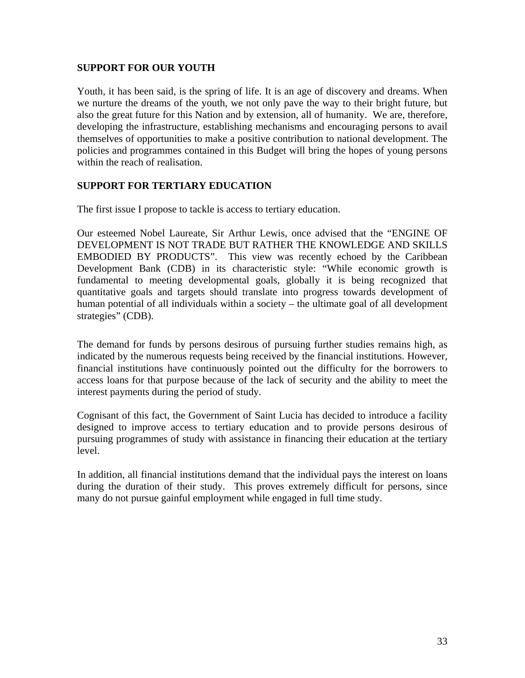#### <span id="page-32-0"></span>**SUPPORT FOR OUR YOUTH**

Youth, it has been said, is the spring of life. It is an age of discovery and dreams. When we nurture the dreams of the youth, we not only pave the way to their bright future, but also the great future for this Nation and by extension, all of humanity. We are, therefore, developing the infrastructure, establishing mechanisms and encouraging persons to avail themselves of opportunities to make a positive contribution to national development. The policies and programmes contained in this Budget will bring the hopes of young persons within the reach of realisation.

# **SUPPORT FOR TERTIARY EDUCATION**

The first issue I propose to tackle is access to tertiary education.

Our esteemed Nobel Laureate, Sir Arthur Lewis, once advised that the "ENGINE OF DEVELOPMENT IS NOT TRADE BUT RATHER THE KNOWLEDGE AND SKILLS EMBODIED BY PRODUCTS". This view was recently echoed by the Caribbean Development Bank (CDB) in its characteristic style: "While economic growth is fundamental to meeting developmental goals, globally it is being recognized that quantitative goals and targets should translate into progress towards development of human potential of all individuals within a society – the ultimate goal of all development strategies" (CDB).

The demand for funds by persons desirous of pursuing further studies remains high, as indicated by the numerous requests being received by the financial institutions. However, financial institutions have continuously pointed out the difficulty for the borrowers to access loans for that purpose because of the lack of security and the ability to meet the interest payments during the period of study.

Cognisant of this fact, the Government of Saint Lucia has decided to introduce a facility designed to improve access to tertiary education and to provide persons desirous of pursuing programmes of study with assistance in financing their education at the tertiary level.

In addition, all financial institutions demand that the individual pays the interest on loans during the duration of their study. This proves extremely difficult for persons, since many do not pursue gainful employment while engaged in full time study.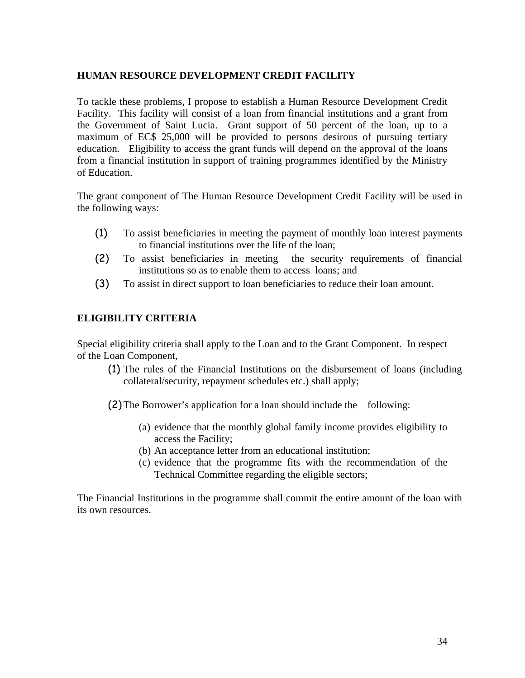# <span id="page-33-0"></span>**HUMAN RESOURCE DEVELOPMENT CREDIT FACILITY**

To tackle these problems, I propose to establish a Human Resource Development Credit Facility. This facility will consist of a loan from financial institutions and a grant from the Government of Saint Lucia. Grant support of 50 percent of the loan, up to a maximum of EC\$ 25,000 will be provided to persons desirous of pursuing tertiary education. Eligibility to access the grant funds will depend on the approval of the loans from a financial institution in support of training programmes identified by the Ministry of Education.

The grant component of The Human Resource Development Credit Facility will be used in the following ways:

- (1) To assist beneficiaries in meeting the payment of monthly loan interest payments to financial institutions over the life of the loan;
- (2) To assist beneficiaries in meeting the security requirements of financial institutions so as to enable them to access loans; and
- (3) To assist in direct support to loan beneficiaries to reduce their loan amount.

# **ELIGIBILITY CRITERIA**

Special eligibility criteria shall apply to the Loan and to the Grant Component. In respect of the Loan Component,

(1) The rules of the Financial Institutions on the disbursement of loans (including collateral/security, repayment schedules etc.) shall apply;

(2) The Borrower's application for a loan should include the following:

- (a) evidence that the monthly global family income provides eligibility to access the Facility;
- (b) An acceptance letter from an educational institution;
- (c) evidence that the programme fits with the recommendation of the Technical Committee regarding the eligible sectors;

The Financial Institutions in the programme shall commit the entire amount of the loan with its own resources.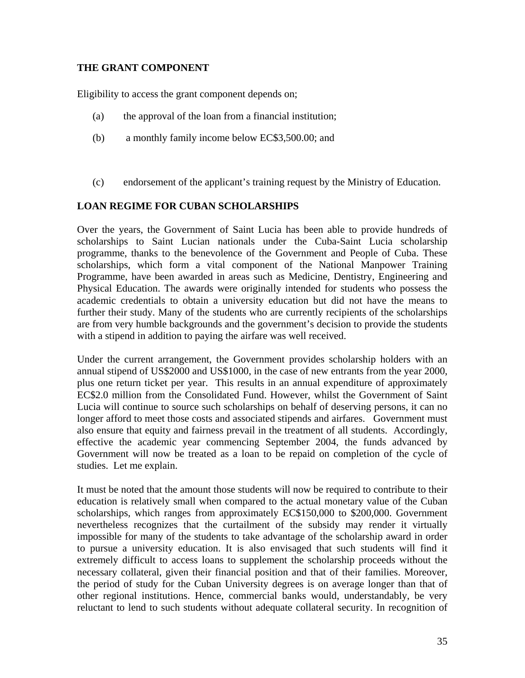#### **THE GRANT COMPONENT**

Eligibility to access the grant component depends on;

- (a) the approval of the loan from a financial institution;
- (b) a monthly family income below EC\$3,500.00; and
- (c) endorsement of the applicant's training request by the Ministry of Education.

# **LOAN REGIME FOR CUBAN SCHOLARSHIPS**

Over the years, the Government of Saint Lucia has been able to provide hundreds of scholarships to Saint Lucian nationals under the Cuba-Saint Lucia scholarship programme, thanks to the benevolence of the Government and People of Cuba. These scholarships, which form a vital component of the National Manpower Training Programme, have been awarded in areas such as Medicine, Dentistry, Engineering and Physical Education. The awards were originally intended for students who possess the academic credentials to obtain a university education but did not have the means to further their study. Many of the students who are currently recipients of the scholarships are from very humble backgrounds and the government's decision to provide the students with a stipend in addition to paying the airfare was well received.

Under the current arrangement, the Government provides scholarship holders with an annual stipend of US\$2000 and US\$1000, in the case of new entrants from the year 2000, plus one return ticket per year. This results in an annual expenditure of approximately EC\$2.0 million from the Consolidated Fund. However, whilst the Government of Saint Lucia will continue to source such scholarships on behalf of deserving persons, it can no longer afford to meet those costs and associated stipends and airfares. Government must also ensure that equity and fairness prevail in the treatment of all students. Accordingly, effective the academic year commencing September 2004, the funds advanced by Government will now be treated as a loan to be repaid on completion of the cycle of studies. Let me explain.

It must be noted that the amount those students will now be required to contribute to their education is relatively small when compared to the actual monetary value of the Cuban scholarships, which ranges from approximately EC\$150,000 to \$200,000. Government nevertheless recognizes that the curtailment of the subsidy may render it virtually impossible for many of the students to take advantage of the scholarship award in order to pursue a university education. It is also envisaged that such students will find it extremely difficult to access loans to supplement the scholarship proceeds without the necessary collateral, given their financial position and that of their families. Moreover, the period of study for the Cuban University degrees is on average longer than that of other regional institutions. Hence, commercial banks would, understandably, be very reluctant to lend to such students without adequate collateral security. In recognition of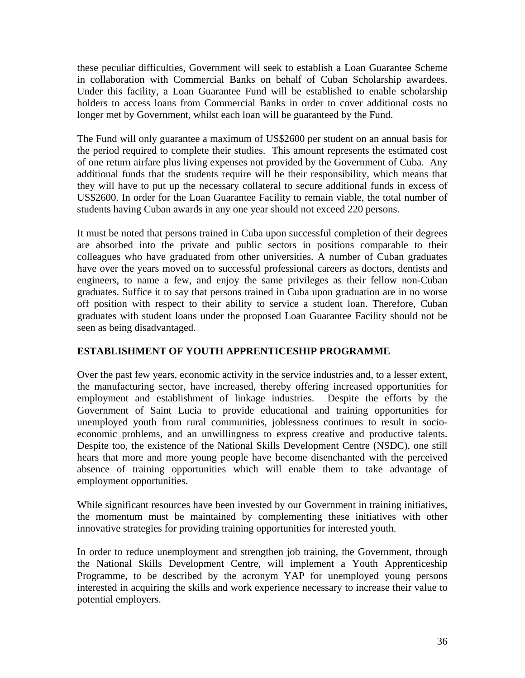<span id="page-35-0"></span>these peculiar difficulties, Government will seek to establish a Loan Guarantee Scheme in collaboration with Commercial Banks on behalf of Cuban Scholarship awardees. Under this facility, a Loan Guarantee Fund will be established to enable scholarship holders to access loans from Commercial Banks in order to cover additional costs no longer met by Government, whilst each loan will be guaranteed by the Fund.

The Fund will only guarantee a maximum of US\$2600 per student on an annual basis for the period required to complete their studies. This amount represents the estimated cost of one return airfare plus living expenses not provided by the Government of Cuba. Any additional funds that the students require will be their responsibility, which means that they will have to put up the necessary collateral to secure additional funds in excess of US\$2600. In order for the Loan Guarantee Facility to remain viable, the total number of students having Cuban awards in any one year should not exceed 220 persons.

It must be noted that persons trained in Cuba upon successful completion of their degrees are absorbed into the private and public sectors in positions comparable to their colleagues who have graduated from other universities. A number of Cuban graduates have over the years moved on to successful professional careers as doctors, dentists and engineers, to name a few, and enjoy the same privileges as their fellow non-Cuban graduates. Suffice it to say that persons trained in Cuba upon graduation are in no worse off position with respect to their ability to service a student loan. Therefore, Cuban graduates with student loans under the proposed Loan Guarantee Facility should not be seen as being disadvantaged.

# **ESTABLISHMENT OF YOUTH APPRENTICESHIP PROGRAMME**

Over the past few years, economic activity in the service industries and, to a lesser extent, the manufacturing sector, have increased, thereby offering increased opportunities for employment and establishment of linkage industries. Despite the efforts by the Government of Saint Lucia to provide educational and training opportunities for unemployed youth from rural communities, joblessness continues to result in socioeconomic problems, and an unwillingness to express creative and productive talents. Despite too, the existence of the National Skills Development Centre (NSDC), one still hears that more and more young people have become disenchanted with the perceived absence of training opportunities which will enable them to take advantage of employment opportunities.

While significant resources have been invested by our Government in training initiatives, the momentum must be maintained by complementing these initiatives with other innovative strategies for providing training opportunities for interested youth.

In order to reduce unemployment and strengthen job training, the Government, through the National Skills Development Centre, will implement a Youth Apprenticeship Programme, to be described by the acronym YAP for unemployed young persons interested in acquiring the skills and work experience necessary to increase their value to potential employers.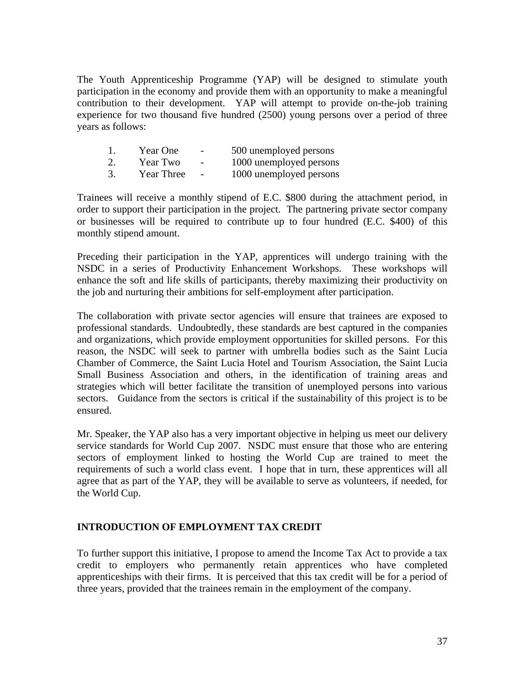<span id="page-36-0"></span>The Youth Apprenticeship Programme (YAP) will be designed to stimulate youth participation in the economy and provide them with an opportunity to make a meaningful contribution to their development. YAP will attempt to provide on-the-job training experience for two thousand five hundred (2500) young persons over a period of three years as follows:

| Year One   | $\overline{\phantom{a}}$ | 500 unemployed persons  |
|------------|--------------------------|-------------------------|
| Year Two   | $\overline{\phantom{a}}$ | 1000 unemployed persons |
| Year Three | $\overline{\phantom{a}}$ | 1000 unemployed persons |

Trainees will receive a monthly stipend of E.C. \$800 during the attachment period, in order to support their participation in the project. The partnering private sector company or businesses will be required to contribute up to four hundred (E.C. \$400) of this monthly stipend amount.

Preceding their participation in the YAP, apprentices will undergo training with the NSDC in a series of Productivity Enhancement Workshops. These workshops will enhance the soft and life skills of participants, thereby maximizing their productivity on the job and nurturing their ambitions for self-employment after participation.

The collaboration with private sector agencies will ensure that trainees are exposed to professional standards. Undoubtedly, these standards are best captured in the companies and organizations, which provide employment opportunities for skilled persons. For this reason, the NSDC will seek to partner with umbrella bodies such as the Saint Lucia Chamber of Commerce, the Saint Lucia Hotel and Tourism Association, the Saint Lucia Small Business Association and others, in the identification of training areas and strategies which will better facilitate the transition of unemployed persons into various sectors. Guidance from the sectors is critical if the sustainability of this project is to be ensured.

Mr. Speaker, the YAP also has a very important objective in helping us meet our delivery service standards for World Cup 2007. NSDC must ensure that those who are entering sectors of employment linked to hosting the World Cup are trained to meet the requirements of such a world class event. I hope that in turn, these apprentices will all agree that as part of the YAP, they will be available to serve as volunteers, if needed, for the World Cup.

# **INTRODUCTION OF EMPLOYMENT TAX CREDIT**

To further support this initiative, I propose to amend the Income Tax Act to provide a tax credit to employers who permanently retain apprentices who have completed apprenticeships with their firms. It is perceived that this tax credit will be for a period of three years, provided that the trainees remain in the employment of the company.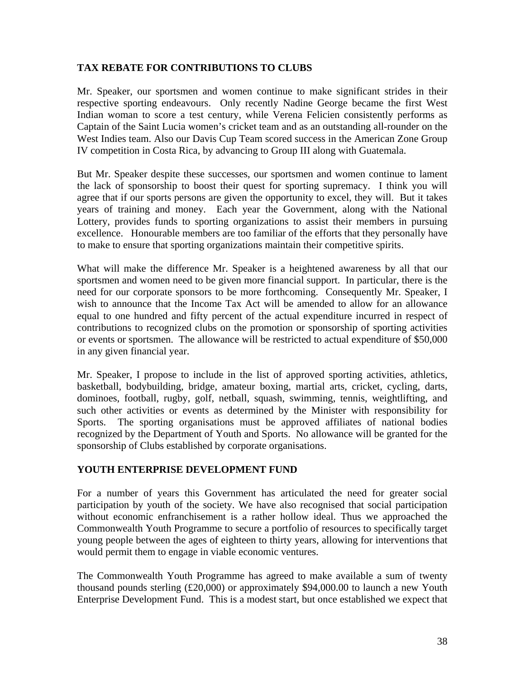### <span id="page-37-0"></span>**TAX REBATE FOR CONTRIBUTIONS TO CLUBS**

Mr. Speaker, our sportsmen and women continue to make significant strides in their respective sporting endeavours. Only recently Nadine George became the first West Indian woman to score a test century, while Verena Felicien consistently performs as Captain of the Saint Lucia women's cricket team and as an outstanding all-rounder on the West Indies team. Also our Davis Cup Team scored success in the American Zone Group IV competition in Costa Rica, by advancing to Group III along with Guatemala.

But Mr. Speaker despite these successes, our sportsmen and women continue to lament the lack of sponsorship to boost their quest for sporting supremacy. I think you will agree that if our sports persons are given the opportunity to excel, they will. But it takes years of training and money. Each year the Government, along with the National Lottery, provides funds to sporting organizations to assist their members in pursuing excellence. Honourable members are too familiar of the efforts that they personally have to make to ensure that sporting organizations maintain their competitive spirits.

What will make the difference Mr. Speaker is a heightened awareness by all that our sportsmen and women need to be given more financial support. In particular, there is the need for our corporate sponsors to be more forthcoming. Consequently Mr. Speaker, I wish to announce that the Income Tax Act will be amended to allow for an allowance equal to one hundred and fifty percent of the actual expenditure incurred in respect of contributions to recognized clubs on the promotion or sponsorship of sporting activities or events or sportsmen. The allowance will be restricted to actual expenditure of \$50,000 in any given financial year.

Mr. Speaker, I propose to include in the list of approved sporting activities, athletics, basketball, bodybuilding, bridge, amateur boxing, martial arts, cricket, cycling, darts, dominoes, football, rugby, golf, netball, squash, swimming, tennis, weightlifting, and such other activities or events as determined by the Minister with responsibility for Sports. The sporting organisations must be approved affiliates of national bodies recognized by the Department of Youth and Sports. No allowance will be granted for the sponsorship of Clubs established by corporate organisations.

# **YOUTH ENTERPRISE DEVELOPMENT FUND**

For a number of years this Government has articulated the need for greater social participation by youth of the society. We have also recognised that social participation without economic enfranchisement is a rather hollow ideal. Thus we approached the Commonwealth Youth Programme to secure a portfolio of resources to specifically target young people between the ages of eighteen to thirty years, allowing for interventions that would permit them to engage in viable economic ventures.

The Commonwealth Youth Programme has agreed to make available a sum of twenty thousand pounds sterling (£20,000) or approximately \$94,000.00 to launch a new Youth Enterprise Development Fund. This is a modest start, but once established we expect that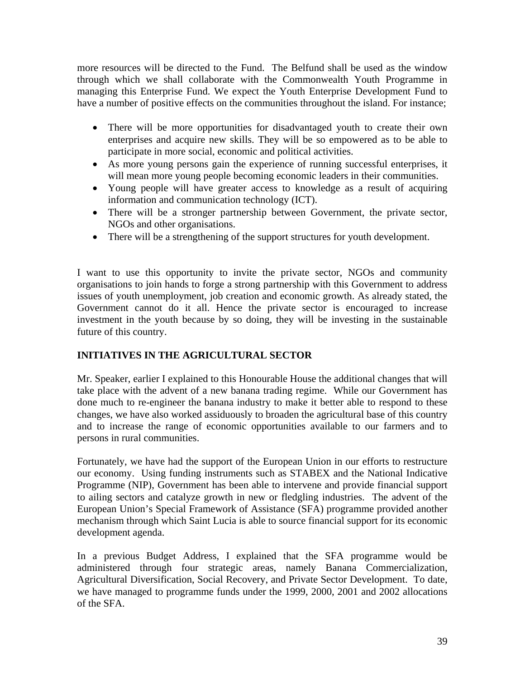<span id="page-38-0"></span>more resources will be directed to the Fund. The Belfund shall be used as the window through which we shall collaborate with the Commonwealth Youth Programme in managing this Enterprise Fund. We expect the Youth Enterprise Development Fund to have a number of positive effects on the communities throughout the island. For instance;

- There will be more opportunities for disadvantaged youth to create their own enterprises and acquire new skills. They will be so empowered as to be able to participate in more social, economic and political activities.
- As more young persons gain the experience of running successful enterprises, it will mean more young people becoming economic leaders in their communities.
- Young people will have greater access to knowledge as a result of acquiring information and communication technology (ICT).
- There will be a stronger partnership between Government, the private sector, NGOs and other organisations.
- There will be a strengthening of the support structures for youth development.

I want to use this opportunity to invite the private sector, NGOs and community organisations to join hands to forge a strong partnership with this Government to address issues of youth unemployment, job creation and economic growth. As already stated, the Government cannot do it all. Hence the private sector is encouraged to increase investment in the youth because by so doing, they will be investing in the sustainable future of this country.

# **INITIATIVES IN THE AGRICULTURAL SECTOR**

Mr. Speaker, earlier I explained to this Honourable House the additional changes that will take place with the advent of a new banana trading regime. While our Government has done much to re-engineer the banana industry to make it better able to respond to these changes, we have also worked assiduously to broaden the agricultural base of this country and to increase the range of economic opportunities available to our farmers and to persons in rural communities.

Fortunately, we have had the support of the European Union in our efforts to restructure our economy. Using funding instruments such as STABEX and the National Indicative Programme (NIP), Government has been able to intervene and provide financial support to ailing sectors and catalyze growth in new or fledgling industries. The advent of the European Union's Special Framework of Assistance (SFA) programme provided another mechanism through which Saint Lucia is able to source financial support for its economic development agenda.

In a previous Budget Address, I explained that the SFA programme would be administered through four strategic areas, namely Banana Commercialization, Agricultural Diversification, Social Recovery, and Private Sector Development. To date, we have managed to programme funds under the 1999, 2000, 2001 and 2002 allocations of the SFA.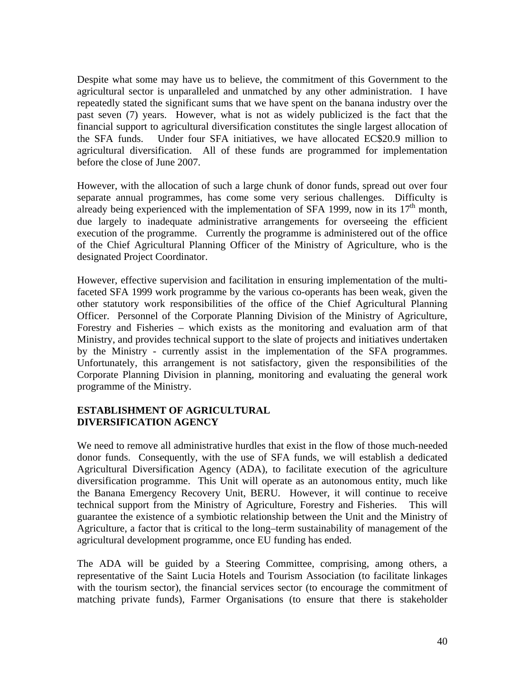<span id="page-39-0"></span>Despite what some may have us to believe, the commitment of this Government to the agricultural sector is unparalleled and unmatched by any other administration. I have repeatedly stated the significant sums that we have spent on the banana industry over the past seven (7) years. However, what is not as widely publicized is the fact that the financial support to agricultural diversification constitutes the single largest allocation of the SFA funds. Under four SFA initiatives, we have allocated EC\$20.9 million to agricultural diversification. All of these funds are programmed for implementation before the close of June 2007.

However, with the allocation of such a large chunk of donor funds, spread out over four separate annual programmes, has come some very serious challenges. Difficulty is already being experienced with the implementation of SFA 1999, now in its  $17<sup>th</sup>$  month, due largely to inadequate administrative arrangements for overseeing the efficient execution of the programme. Currently the programme is administered out of the office of the Chief Agricultural Planning Officer of the Ministry of Agriculture, who is the designated Project Coordinator.

However, effective supervision and facilitation in ensuring implementation of the multifaceted SFA 1999 work programme by the various co-operants has been weak, given the other statutory work responsibilities of the office of the Chief Agricultural Planning Officer. Personnel of the Corporate Planning Division of the Ministry of Agriculture, Forestry and Fisheries – which exists as the monitoring and evaluation arm of that Ministry, and provides technical support to the slate of projects and initiatives undertaken by the Ministry - currently assist in the implementation of the SFA programmes. Unfortunately, this arrangement is not satisfactory, given the responsibilities of the Corporate Planning Division in planning, monitoring and evaluating the general work programme of the Ministry.

# **ESTABLISHMENT OF AGRICULTURAL DIVERSIFICATION AGENCY**

We need to remove all administrative hurdles that exist in the flow of those much-needed donor funds. Consequently, with the use of SFA funds, we will establish a dedicated Agricultural Diversification Agency (ADA), to facilitate execution of the agriculture diversification programme. This Unit will operate as an autonomous entity, much like the Banana Emergency Recovery Unit, BERU. However, it will continue to receive technical support from the Ministry of Agriculture, Forestry and Fisheries. This will guarantee the existence of a symbiotic relationship between the Unit and the Ministry of Agriculture, a factor that is critical to the long–term sustainability of management of the agricultural development programme, once EU funding has ended.

The ADA will be guided by a Steering Committee, comprising, among others, a representative of the Saint Lucia Hotels and Tourism Association (to facilitate linkages with the tourism sector), the financial services sector (to encourage the commitment of matching private funds), Farmer Organisations (to ensure that there is stakeholder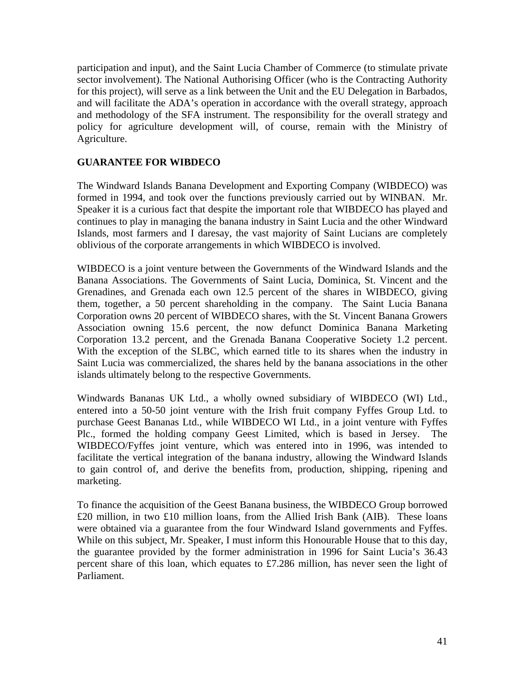<span id="page-40-0"></span>participation and input), and the Saint Lucia Chamber of Commerce (to stimulate private sector involvement). The National Authorising Officer (who is the Contracting Authority for this project), will serve as a link between the Unit and the EU Delegation in Barbados, and will facilitate the ADA's operation in accordance with the overall strategy, approach and methodology of the SFA instrument. The responsibility for the overall strategy and policy for agriculture development will, of course, remain with the Ministry of Agriculture.

# **GUARANTEE FOR WIBDECO**

The Windward Islands Banana Development and Exporting Company (WIBDECO) was formed in 1994, and took over the functions previously carried out by WINBAN. Mr. Speaker it is a curious fact that despite the important role that WIBDECO has played and continues to play in managing the banana industry in Saint Lucia and the other Windward Islands, most farmers and I daresay, the vast majority of Saint Lucians are completely oblivious of the corporate arrangements in which WIBDECO is involved.

WIBDECO is a joint venture between the Governments of the Windward Islands and the Banana Associations. The Governments of Saint Lucia, Dominica, St. Vincent and the Grenadines, and Grenada each own 12.5 percent of the shares in WIBDECO, giving them, together, a 50 percent shareholding in the company. The Saint Lucia Banana Corporation owns 20 percent of WIBDECO shares, with the St. Vincent Banana Growers Association owning 15.6 percent, the now defunct Dominica Banana Marketing Corporation 13.2 percent, and the Grenada Banana Cooperative Society 1.2 percent. With the exception of the SLBC, which earned title to its shares when the industry in Saint Lucia was commercialized, the shares held by the banana associations in the other islands ultimately belong to the respective Governments.

Windwards Bananas UK Ltd., a wholly owned subsidiary of WIBDECO (WI) Ltd., entered into a 50-50 joint venture with the Irish fruit company Fyffes Group Ltd. to purchase Geest Bananas Ltd., while WIBDECO WI Ltd., in a joint venture with Fyffes Plc., formed the holding company Geest Limited, which is based in Jersey. The WIBDECO/Fyffes joint venture, which was entered into in 1996, was intended to facilitate the vertical integration of the banana industry, allowing the Windward Islands to gain control of, and derive the benefits from, production, shipping, ripening and marketing.

To finance the acquisition of the Geest Banana business, the WIBDECO Group borrowed £20 million, in two £10 million loans, from the Allied Irish Bank (AIB). These loans were obtained via a guarantee from the four Windward Island governments and Fyffes. While on this subject, Mr. Speaker, I must inform this Honourable House that to this day, the guarantee provided by the former administration in 1996 for Saint Lucia's 36.43 percent share of this loan, which equates to £7.286 million, has never seen the light of Parliament.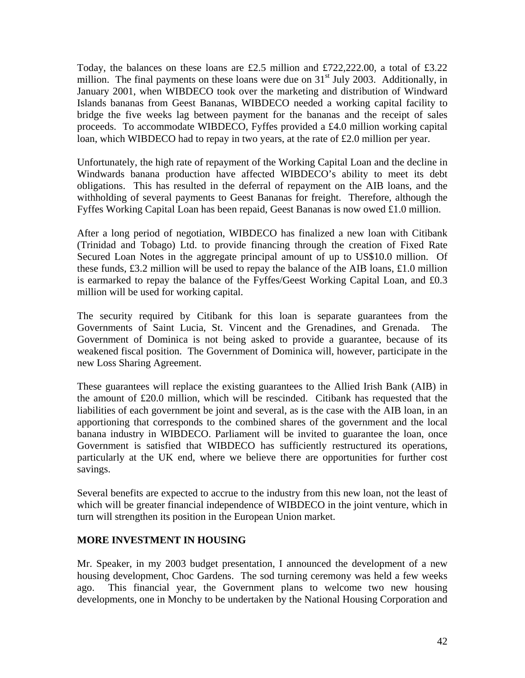<span id="page-41-0"></span>Today, the balances on these loans are £2.5 million and £722,222.00, a total of £3.22 million. The final payments on these loans were due on  $31<sup>st</sup>$  July 2003. Additionally, in January 2001, when WIBDECO took over the marketing and distribution of Windward Islands bananas from Geest Bananas, WIBDECO needed a working capital facility to bridge the five weeks lag between payment for the bananas and the receipt of sales proceeds. To accommodate WIBDECO, Fyffes provided a £4.0 million working capital loan, which WIBDECO had to repay in two years, at the rate of £2.0 million per year.

Unfortunately, the high rate of repayment of the Working Capital Loan and the decline in Windwards banana production have affected WIBDECO's ability to meet its debt obligations. This has resulted in the deferral of repayment on the AIB loans, and the withholding of several payments to Geest Bananas for freight. Therefore, although the Fyffes Working Capital Loan has been repaid, Geest Bananas is now owed £1.0 million.

After a long period of negotiation, WIBDECO has finalized a new loan with Citibank (Trinidad and Tobago) Ltd. to provide financing through the creation of Fixed Rate Secured Loan Notes in the aggregate principal amount of up to US\$10.0 million. Of these funds,  $\pounds$ 3.2 million will be used to repay the balance of the AIB loans,  $\pounds$ 1.0 million is earmarked to repay the balance of the Fyffes/Geest Working Capital Loan, and £0.3 million will be used for working capital.

The security required by Citibank for this loan is separate guarantees from the Governments of Saint Lucia, St. Vincent and the Grenadines, and Grenada. Government of Dominica is not being asked to provide a guarantee, because of its weakened fiscal position. The Government of Dominica will, however, participate in the new Loss Sharing Agreement.

These guarantees will replace the existing guarantees to the Allied Irish Bank (AIB) in the amount of £20.0 million, which will be rescinded. Citibank has requested that the liabilities of each government be joint and several, as is the case with the AIB loan, in an apportioning that corresponds to the combined shares of the government and the local banana industry in WIBDECO. Parliament will be invited to guarantee the loan, once Government is satisfied that WIBDECO has sufficiently restructured its operations, particularly at the UK end, where we believe there are opportunities for further cost savings.

Several benefits are expected to accrue to the industry from this new loan, not the least of which will be greater financial independence of WIBDECO in the joint venture, which in turn will strengthen its position in the European Union market.

#### **MORE INVESTMENT IN HOUSING**

Mr. Speaker, in my 2003 budget presentation, I announced the development of a new housing development, Choc Gardens. The sod turning ceremony was held a few weeks ago. This financial year, the Government plans to welcome two new housing developments, one in Monchy to be undertaken by the National Housing Corporation and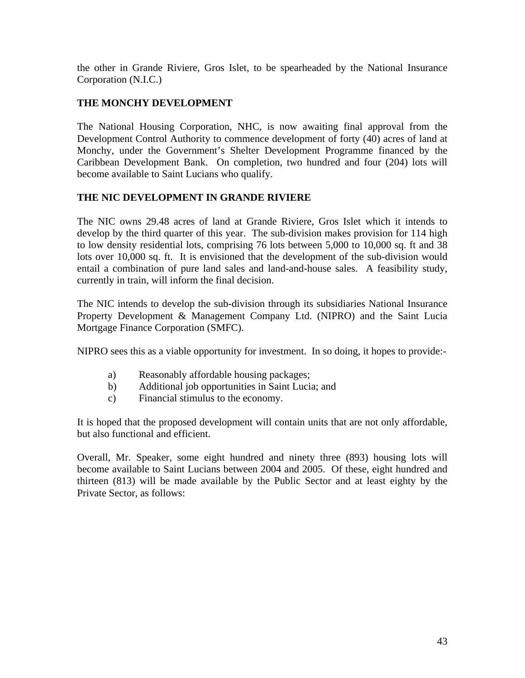<span id="page-42-0"></span>the other in Grande Riviere, Gros Islet, to be spearheaded by the National Insurance Corporation (N.I.C.)

# **THE MONCHY DEVELOPMENT**

The National Housing Corporation, NHC, is now awaiting final approval from the Development Control Authority to commence development of forty (40) acres of land at Monchy, under the Government's Shelter Development Programme financed by the Caribbean Development Bank. On completion, two hundred and four (204) lots will become available to Saint Lucians who qualify.

# **THE NIC DEVELOPMENT IN GRANDE RIVIERE**

The NIC owns 29.48 acres of land at Grande Riviere, Gros Islet which it intends to develop by the third quarter of this year. The sub-division makes provision for 114 high to low density residential lots, comprising 76 lots between 5,000 to 10,000 sq. ft and 38 lots over 10,000 sq. ft. It is envisioned that the development of the sub-division would entail a combination of pure land sales and land-and-house sales. A feasibility study, currently in train, will inform the final decision.

The NIC intends to develop the sub-division through its subsidiaries National Insurance Property Development & Management Company Ltd. (NIPRO) and the Saint Lucia Mortgage Finance Corporation (SMFC).

NIPRO sees this as a viable opportunity for investment. In so doing, it hopes to provide:-

- a) Reasonably affordable housing packages;
- b) Additional job opportunities in Saint Lucia; and
- c) Financial stimulus to the economy.

It is hoped that the proposed development will contain units that are not only affordable, but also functional and efficient.

Overall, Mr. Speaker, some eight hundred and ninety three (893) housing lots will become available to Saint Lucians between 2004 and 2005. Of these, eight hundred and thirteen (813) will be made available by the Public Sector and at least eighty by the Private Sector, as follows: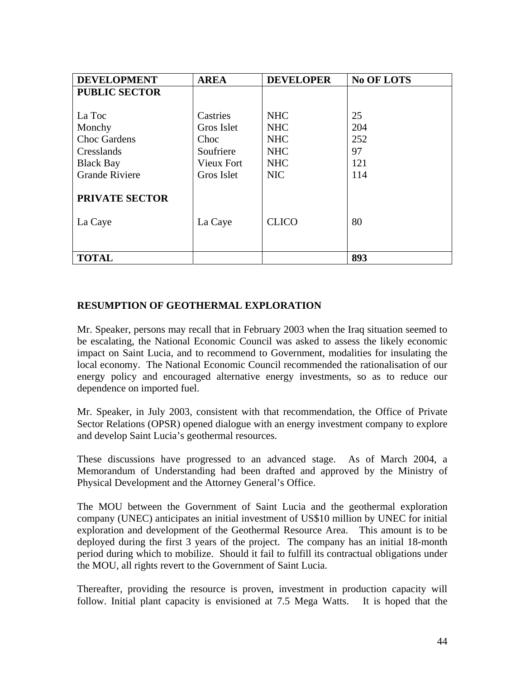<span id="page-43-0"></span>

| <b>DEVELOPMENT</b>    | <b>AREA</b>       | <b>DEVELOPER</b> | <b>No OF LOTS</b> |
|-----------------------|-------------------|------------------|-------------------|
| <b>PUBLIC SECTOR</b>  |                   |                  |                   |
|                       |                   |                  |                   |
| La Toc                | Castries          | <b>NHC</b>       | 25                |
| Monchy                | Gros Islet        | <b>NHC</b>       | 204               |
| <b>Choc Gardens</b>   | Choc              | <b>NHC</b>       | 252               |
| Cresslands            | Soufriere         | <b>NHC</b>       | 97                |
| <b>Black Bay</b>      | <b>Vieux Fort</b> | <b>NHC</b>       | 121               |
| <b>Grande Riviere</b> | Gros Islet        | <b>NIC</b>       | 114               |
|                       |                   |                  |                   |
| PRIVATE SECTOR        |                   |                  |                   |
|                       |                   |                  |                   |
| La Caye               | La Caye           | <b>CLICO</b>     | 80                |
|                       |                   |                  |                   |
|                       |                   |                  |                   |
| <b>TOTAL</b>          |                   |                  | 893               |

# **RESUMPTION OF GEOTHERMAL EXPLORATION**

Mr. Speaker, persons may recall that in February 2003 when the Iraq situation seemed to be escalating, the National Economic Council was asked to assess the likely economic impact on Saint Lucia, and to recommend to Government, modalities for insulating the local economy. The National Economic Council recommended the rationalisation of our energy policy and encouraged alternative energy investments, so as to reduce our dependence on imported fuel.

Mr. Speaker, in July 2003, consistent with that recommendation, the Office of Private Sector Relations (OPSR) opened dialogue with an energy investment company to explore and develop Saint Lucia's geothermal resources.

These discussions have progressed to an advanced stage. As of March 2004, a Memorandum of Understanding had been drafted and approved by the Ministry of Physical Development and the Attorney General's Office.

The MOU between the Government of Saint Lucia and the geothermal exploration company (UNEC) anticipates an initial investment of US\$10 million by UNEC for initial exploration and development of the Geothermal Resource Area. This amount is to be deployed during the first 3 years of the project. The company has an initial 18-month period during which to mobilize. Should it fail to fulfill its contractual obligations under the MOU, all rights revert to the Government of Saint Lucia.

Thereafter, providing the resource is proven, investment in production capacity will follow. Initial plant capacity is envisioned at 7.5 Mega Watts. It is hoped that the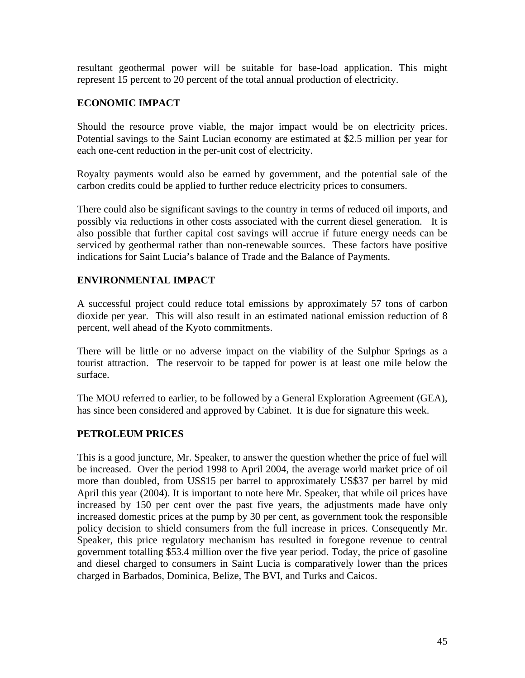<span id="page-44-0"></span>resultant geothermal power will be suitable for base-load application. This might represent 15 percent to 20 percent of the total annual production of electricity.

# **ECONOMIC IMPACT**

Should the resource prove viable, the major impact would be on electricity prices. Potential savings to the Saint Lucian economy are estimated at \$2.5 million per year for each one-cent reduction in the per-unit cost of electricity.

Royalty payments would also be earned by government, and the potential sale of the carbon credits could be applied to further reduce electricity prices to consumers.

There could also be significant savings to the country in terms of reduced oil imports, and possibly via reductions in other costs associated with the current diesel generation. It is also possible that further capital cost savings will accrue if future energy needs can be serviced by geothermal rather than non-renewable sources. These factors have positive indications for Saint Lucia's balance of Trade and the Balance of Payments.

# **ENVIRONMENTAL IMPACT**

A successful project could reduce total emissions by approximately 57 tons of carbon dioxide per year. This will also result in an estimated national emission reduction of 8 percent, well ahead of the Kyoto commitments.

There will be little or no adverse impact on the viability of the Sulphur Springs as a tourist attraction. The reservoir to be tapped for power is at least one mile below the surface.

The MOU referred to earlier, to be followed by a General Exploration Agreement (GEA), has since been considered and approved by Cabinet. It is due for signature this week.

#### **PETROLEUM PRICES**

This is a good juncture, Mr. Speaker, to answer the question whether the price of fuel will be increased. Over the period 1998 to April 2004, the average world market price of oil more than doubled, from US\$15 per barrel to approximately US\$37 per barrel by mid April this year (2004). It is important to note here Mr. Speaker, that while oil prices have increased by 150 per cent over the past five years, the adjustments made have only increased domestic prices at the pump by 30 per cent, as government took the responsible policy decision to shield consumers from the full increase in prices. Consequently Mr. Speaker, this price regulatory mechanism has resulted in foregone revenue to central government totalling \$53.4 million over the five year period. Today, the price of gasoline and diesel charged to consumers in Saint Lucia is comparatively lower than the prices charged in Barbados, Dominica, Belize, The BVI, and Turks and Caicos.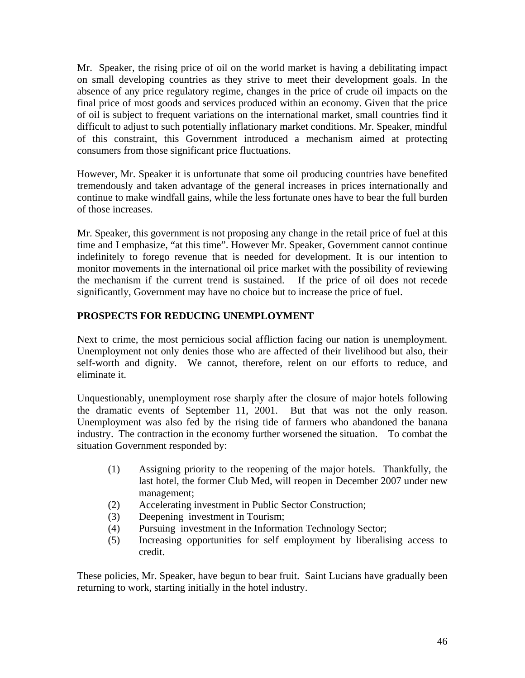<span id="page-45-0"></span>Mr. Speaker, the rising price of oil on the world market is having a debilitating impact on small developing countries as they strive to meet their development goals. In the absence of any price regulatory regime, changes in the price of crude oil impacts on the final price of most goods and services produced within an economy. Given that the price of oil is subject to frequent variations on the international market, small countries find it difficult to adjust to such potentially inflationary market conditions. Mr. Speaker, mindful of this constraint, this Government introduced a mechanism aimed at protecting consumers from those significant price fluctuations.

However, Mr. Speaker it is unfortunate that some oil producing countries have benefited tremendously and taken advantage of the general increases in prices internationally and continue to make windfall gains, while the less fortunate ones have to bear the full burden of those increases.

Mr. Speaker, this government is not proposing any change in the retail price of fuel at this time and I emphasize, "at this time". However Mr. Speaker, Government cannot continue indefinitely to forego revenue that is needed for development. It is our intention to monitor movements in the international oil price market with the possibility of reviewing the mechanism if the current trend is sustained. If the price of oil does not recede significantly, Government may have no choice but to increase the price of fuel.

# **PROSPECTS FOR REDUCING UNEMPLOYMENT**

Next to crime, the most pernicious social affliction facing our nation is unemployment. Unemployment not only denies those who are affected of their livelihood but also, their self-worth and dignity. We cannot, therefore, relent on our efforts to reduce, and eliminate it.

Unquestionably, unemployment rose sharply after the closure of major hotels following the dramatic events of September 11, 2001. But that was not the only reason. Unemployment was also fed by the rising tide of farmers who abandoned the banana industry. The contraction in the economy further worsened the situation. To combat the situation Government responded by:

- (1) Assigning priority to the reopening of the major hotels. Thankfully, the last hotel, the former Club Med, will reopen in December 2007 under new management;
- (2) Accelerating investment in Public Sector Construction;
- (3) Deepening investment in Tourism;
- (4) Pursuing investment in the Information Technology Sector;
- (5) Increasing opportunities for self employment by liberalising access to credit.

These policies, Mr. Speaker, have begun to bear fruit. Saint Lucians have gradually been returning to work, starting initially in the hotel industry.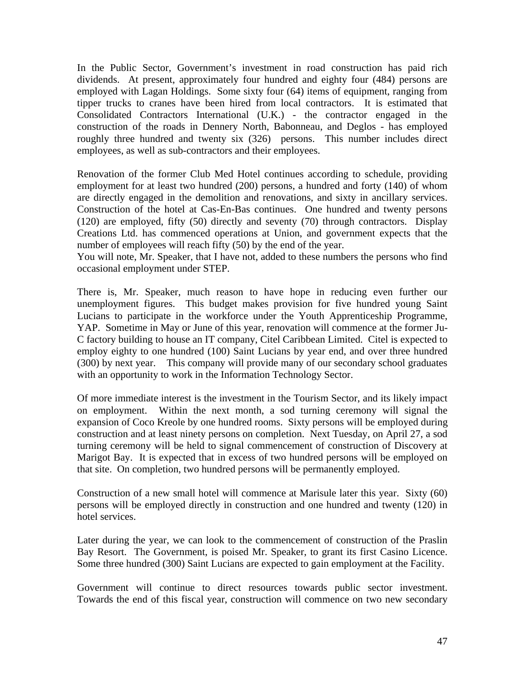In the Public Sector, Government's investment in road construction has paid rich dividends. At present, approximately four hundred and eighty four (484) persons are employed with Lagan Holdings. Some sixty four (64) items of equipment, ranging from tipper trucks to cranes have been hired from local contractors. It is estimated that Consolidated Contractors International (U.K.) - the contractor engaged in the construction of the roads in Dennery North, Babonneau, and Deglos - has employed roughly three hundred and twenty six (326) persons. This number includes direct employees, as well as sub-contractors and their employees.

Renovation of the former Club Med Hotel continues according to schedule, providing employment for at least two hundred (200) persons, a hundred and forty (140) of whom are directly engaged in the demolition and renovations, and sixty in ancillary services. Construction of the hotel at Cas-En-Bas continues. One hundred and twenty persons (120) are employed, fifty (50) directly and seventy (70) through contractors. Display Creations Ltd. has commenced operations at Union, and government expects that the number of employees will reach fifty (50) by the end of the year.

You will note, Mr. Speaker, that I have not, added to these numbers the persons who find occasional employment under STEP.

There is, Mr. Speaker, much reason to have hope in reducing even further our unemployment figures. This budget makes provision for five hundred young Saint Lucians to participate in the workforce under the Youth Apprenticeship Programme, YAP. Sometime in May or June of this year, renovation will commence at the former Ju-C factory building to house an IT company, Citel Caribbean Limited. Citel is expected to employ eighty to one hundred (100) Saint Lucians by year end, and over three hundred (300) by next year. This company will provide many of our secondary school graduates with an opportunity to work in the Information Technology Sector.

Of more immediate interest is the investment in the Tourism Sector, and its likely impact on employment. Within the next month, a sod turning ceremony will signal the expansion of Coco Kreole by one hundred rooms. Sixty persons will be employed during construction and at least ninety persons on completion. Next Tuesday, on April 27, a sod turning ceremony will be held to signal commencement of construction of Discovery at Marigot Bay. It is expected that in excess of two hundred persons will be employed on that site. On completion, two hundred persons will be permanently employed.

Construction of a new small hotel will commence at Marisule later this year. Sixty (60) persons will be employed directly in construction and one hundred and twenty (120) in hotel services.

Later during the year, we can look to the commencement of construction of the Praslin Bay Resort. The Government, is poised Mr. Speaker, to grant its first Casino Licence. Some three hundred (300) Saint Lucians are expected to gain employment at the Facility.

Government will continue to direct resources towards public sector investment. Towards the end of this fiscal year, construction will commence on two new secondary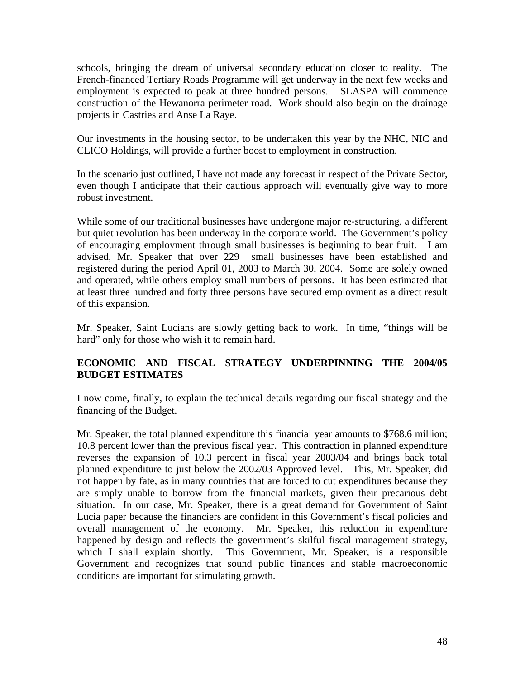<span id="page-47-0"></span>schools, bringing the dream of universal secondary education closer to reality. The French-financed Tertiary Roads Programme will get underway in the next few weeks and employment is expected to peak at three hundred persons. SLASPA will commence construction of the Hewanorra perimeter road. Work should also begin on the drainage projects in Castries and Anse La Raye.

Our investments in the housing sector, to be undertaken this year by the NHC, NIC and CLICO Holdings, will provide a further boost to employment in construction.

In the scenario just outlined, I have not made any forecast in respect of the Private Sector, even though I anticipate that their cautious approach will eventually give way to more robust investment.

While some of our traditional businesses have undergone major re-structuring, a different but quiet revolution has been underway in the corporate world. The Government's policy of encouraging employment through small businesses is beginning to bear fruit. I am advised, Mr. Speaker that over 229 small businesses have been established and registered during the period April 01, 2003 to March 30, 2004. Some are solely owned and operated, while others employ small numbers of persons. It has been estimated that at least three hundred and forty three persons have secured employment as a direct result of this expansion.

Mr. Speaker, Saint Lucians are slowly getting back to work. In time, "things will be hard" only for those who wish it to remain hard.

# **ECONOMIC AND FISCAL STRATEGY UNDERPINNING THE 2004/05 BUDGET ESTIMATES**

I now come, finally, to explain the technical details regarding our fiscal strategy and the financing of the Budget.

Mr. Speaker, the total planned expenditure this financial year amounts to \$768.6 million; 10.8 percent lower than the previous fiscal year. This contraction in planned expenditure reverses the expansion of 10.3 percent in fiscal year 2003/04 and brings back total planned expenditure to just below the 2002/03 Approved level. This, Mr. Speaker, did not happen by fate, as in many countries that are forced to cut expenditures because they are simply unable to borrow from the financial markets, given their precarious debt situation. In our case, Mr. Speaker, there is a great demand for Government of Saint Lucia paper because the financiers are confident in this Government's fiscal policies and overall management of the economy. Mr. Speaker, this reduction in expenditure happened by design and reflects the government's skilful fiscal management strategy, which I shall explain shortly. This Government, Mr. Speaker, is a responsible Government and recognizes that sound public finances and stable macroeconomic conditions are important for stimulating growth.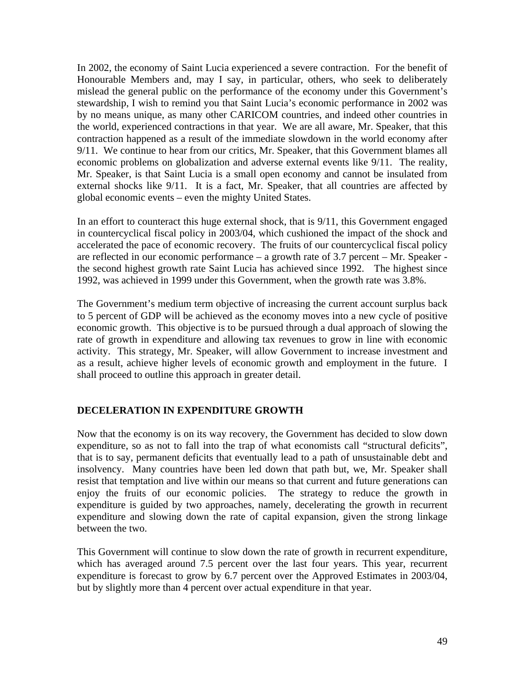<span id="page-48-0"></span>In 2002, the economy of Saint Lucia experienced a severe contraction. For the benefit of Honourable Members and, may I say, in particular, others, who seek to deliberately mislead the general public on the performance of the economy under this Government's stewardship, I wish to remind you that Saint Lucia's economic performance in 2002 was by no means unique, as many other CARICOM countries, and indeed other countries in the world, experienced contractions in that year. We are all aware, Mr. Speaker, that this contraction happened as a result of the immediate slowdown in the world economy after 9/11. We continue to hear from our critics, Mr. Speaker, that this Government blames all economic problems on globalization and adverse external events like 9/11. The reality, Mr. Speaker, is that Saint Lucia is a small open economy and cannot be insulated from external shocks like 9/11. It is a fact, Mr. Speaker, that all countries are affected by global economic events – even the mighty United States.

In an effort to counteract this huge external shock, that is 9/11, this Government engaged in countercyclical fiscal policy in 2003/04, which cushioned the impact of the shock and accelerated the pace of economic recovery. The fruits of our countercyclical fiscal policy are reflected in our economic performance – a growth rate of 3.7 percent – Mr. Speaker the second highest growth rate Saint Lucia has achieved since 1992. The highest since 1992, was achieved in 1999 under this Government, when the growth rate was 3.8%.

The Government's medium term objective of increasing the current account surplus back to 5 percent of GDP will be achieved as the economy moves into a new cycle of positive economic growth. This objective is to be pursued through a dual approach of slowing the rate of growth in expenditure and allowing tax revenues to grow in line with economic activity. This strategy, Mr. Speaker, will allow Government to increase investment and as a result, achieve higher levels of economic growth and employment in the future. I shall proceed to outline this approach in greater detail.

# **DECELERATION IN EXPENDITURE GROWTH**

Now that the economy is on its way recovery, the Government has decided to slow down expenditure, so as not to fall into the trap of what economists call "structural deficits", that is to say, permanent deficits that eventually lead to a path of unsustainable debt and insolvency. Many countries have been led down that path but, we, Mr. Speaker shall resist that temptation and live within our means so that current and future generations can enjoy the fruits of our economic policies. The strategy to reduce the growth in expenditure is guided by two approaches, namely, decelerating the growth in recurrent expenditure and slowing down the rate of capital expansion, given the strong linkage between the two.

This Government will continue to slow down the rate of growth in recurrent expenditure, which has averaged around 7.5 percent over the last four years. This year, recurrent expenditure is forecast to grow by 6.7 percent over the Approved Estimates in 2003/04, but by slightly more than 4 percent over actual expenditure in that year.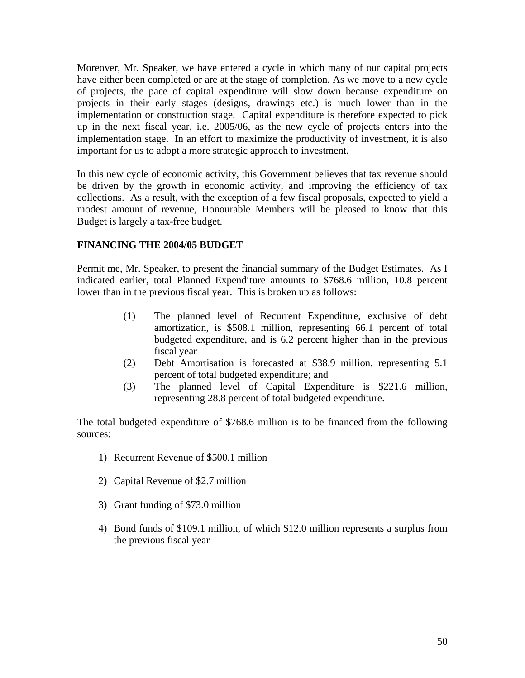<span id="page-49-0"></span>Moreover, Mr. Speaker, we have entered a cycle in which many of our capital projects have either been completed or are at the stage of completion. As we move to a new cycle of projects, the pace of capital expenditure will slow down because expenditure on projects in their early stages (designs, drawings etc.) is much lower than in the implementation or construction stage. Capital expenditure is therefore expected to pick up in the next fiscal year, i.e. 2005/06, as the new cycle of projects enters into the implementation stage. In an effort to maximize the productivity of investment, it is also important for us to adopt a more strategic approach to investment.

In this new cycle of economic activity, this Government believes that tax revenue should be driven by the growth in economic activity, and improving the efficiency of tax collections. As a result, with the exception of a few fiscal proposals, expected to yield a modest amount of revenue, Honourable Members will be pleased to know that this Budget is largely a tax-free budget.

# **FINANCING THE 2004/05 BUDGET**

Permit me, Mr. Speaker, to present the financial summary of the Budget Estimates. As I indicated earlier, total Planned Expenditure amounts to \$768.6 million, 10.8 percent lower than in the previous fiscal year. This is broken up as follows:

- (1) The planned level of Recurrent Expenditure, exclusive of debt amortization, is \$508.1 million, representing 66.1 percent of total budgeted expenditure, and is 6.2 percent higher than in the previous fiscal year
- (2) Debt Amortisation is forecasted at \$38.9 million, representing 5.1 percent of total budgeted expenditure; and
- (3) The planned level of Capital Expenditure is \$221.6 million, representing 28.8 percent of total budgeted expenditure.

The total budgeted expenditure of \$768.6 million is to be financed from the following sources:

- 1) Recurrent Revenue of \$500.1 million
- 2) Capital Revenue of \$2.7 million
- 3) Grant funding of \$73.0 million
- 4) Bond funds of \$109.1 million, of which \$12.0 million represents a surplus from the previous fiscal year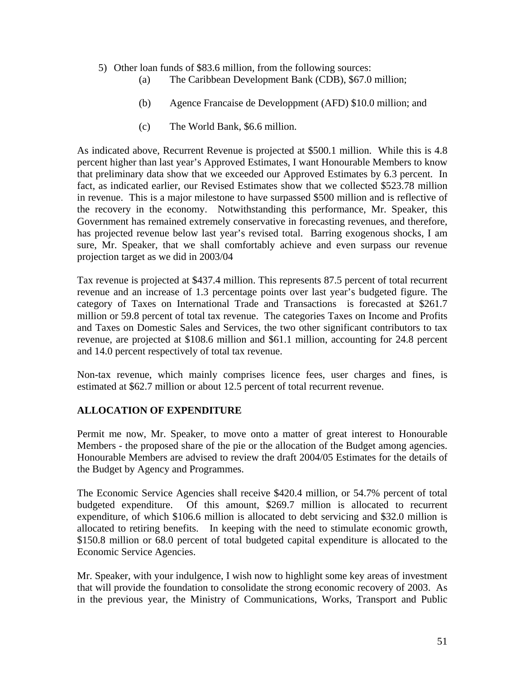- <span id="page-50-0"></span>5) Other loan funds of \$83.6 million, from the following sources:
	- (a) The Caribbean Development Bank (CDB), \$67.0 million;
	- (b) Agence Francaise de Developpment (AFD) \$10.0 million; and
	- (c) The World Bank, \$6.6 million.

As indicated above, Recurrent Revenue is projected at \$500.1 million. While this is 4.8 percent higher than last year's Approved Estimates, I want Honourable Members to know that preliminary data show that we exceeded our Approved Estimates by 6.3 percent. In fact, as indicated earlier, our Revised Estimates show that we collected \$523.78 million in revenue. This is a major milestone to have surpassed \$500 million and is reflective of the recovery in the economy. Notwithstanding this performance, Mr. Speaker, this Government has remained extremely conservative in forecasting revenues, and therefore, has projected revenue below last year's revised total. Barring exogenous shocks, I am sure, Mr. Speaker, that we shall comfortably achieve and even surpass our revenue projection target as we did in 2003/04

Tax revenue is projected at \$437.4 million. This represents 87.5 percent of total recurrent revenue and an increase of 1.3 percentage points over last year's budgeted figure. The category of Taxes on International Trade and Transactions is forecasted at \$261.7 million or 59.8 percent of total tax revenue. The categories Taxes on Income and Profits and Taxes on Domestic Sales and Services, the two other significant contributors to tax revenue, are projected at \$108.6 million and \$61.1 million, accounting for 24.8 percent and 14.0 percent respectively of total tax revenue.

Non-tax revenue, which mainly comprises licence fees, user charges and fines, is estimated at \$62.7 million or about 12.5 percent of total recurrent revenue.

# **ALLOCATION OF EXPENDITURE**

Permit me now, Mr. Speaker, to move onto a matter of great interest to Honourable Members - the proposed share of the pie or the allocation of the Budget among agencies. Honourable Members are advised to review the draft 2004/05 Estimates for the details of the Budget by Agency and Programmes.

The Economic Service Agencies shall receive \$420.4 million, or 54.7% percent of total budgeted expenditure. Of this amount, \$269.7 million is allocated to recurrent expenditure, of which \$106.6 million is allocated to debt servicing and \$32.0 million is allocated to retiring benefits. In keeping with the need to stimulate economic growth, \$150.8 million or 68.0 percent of total budgeted capital expenditure is allocated to the Economic Service Agencies.

Mr. Speaker, with your indulgence, I wish now to highlight some key areas of investment that will provide the foundation to consolidate the strong economic recovery of 2003. As in the previous year, the Ministry of Communications, Works, Transport and Public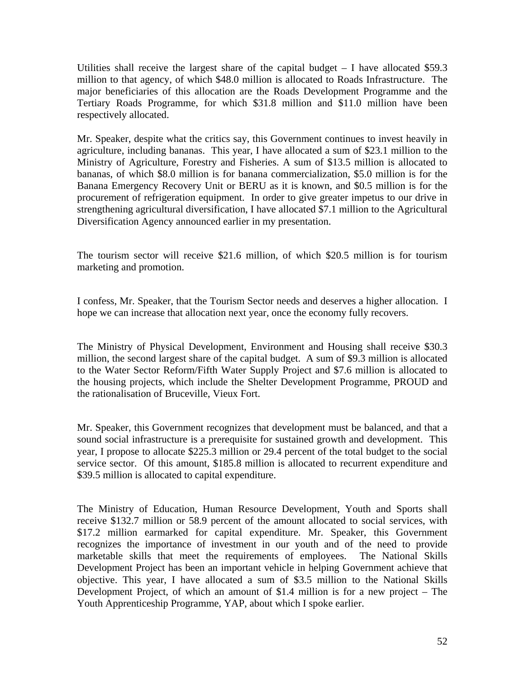Utilities shall receive the largest share of the capital budget  $-1$  have allocated \$59.3 million to that agency, of which \$48.0 million is allocated to Roads Infrastructure. The major beneficiaries of this allocation are the Roads Development Programme and the Tertiary Roads Programme, for which \$31.8 million and \$11.0 million have been respectively allocated.

Mr. Speaker, despite what the critics say, this Government continues to invest heavily in agriculture, including bananas. This year, I have allocated a sum of \$23.1 million to the Ministry of Agriculture, Forestry and Fisheries. A sum of \$13.5 million is allocated to bananas, of which \$8.0 million is for banana commercialization, \$5.0 million is for the Banana Emergency Recovery Unit or BERU as it is known, and \$0.5 million is for the procurement of refrigeration equipment. In order to give greater impetus to our drive in strengthening agricultural diversification, I have allocated \$7.1 million to the Agricultural Diversification Agency announced earlier in my presentation.

The tourism sector will receive \$21.6 million, of which \$20.5 million is for tourism marketing and promotion.

I confess, Mr. Speaker, that the Tourism Sector needs and deserves a higher allocation. I hope we can increase that allocation next year, once the economy fully recovers.

The Ministry of Physical Development, Environment and Housing shall receive \$30.3 million, the second largest share of the capital budget. A sum of \$9.3 million is allocated to the Water Sector Reform/Fifth Water Supply Project and \$7.6 million is allocated to the housing projects, which include the Shelter Development Programme, PROUD and the rationalisation of Bruceville, Vieux Fort.

Mr. Speaker, this Government recognizes that development must be balanced, and that a sound social infrastructure is a prerequisite for sustained growth and development. This year, I propose to allocate \$225.3 million or 29.4 percent of the total budget to the social service sector. Of this amount, \$185.8 million is allocated to recurrent expenditure and \$39.5 million is allocated to capital expenditure.

The Ministry of Education, Human Resource Development, Youth and Sports shall receive \$132.7 million or 58.9 percent of the amount allocated to social services, with \$17.2 million earmarked for capital expenditure. Mr. Speaker, this Government recognizes the importance of investment in our youth and of the need to provide marketable skills that meet the requirements of employees. The National Skills Development Project has been an important vehicle in helping Government achieve that objective. This year, I have allocated a sum of \$3.5 million to the National Skills Development Project, of which an amount of \$1.4 million is for a new project – The Youth Apprenticeship Programme, YAP, about which I spoke earlier.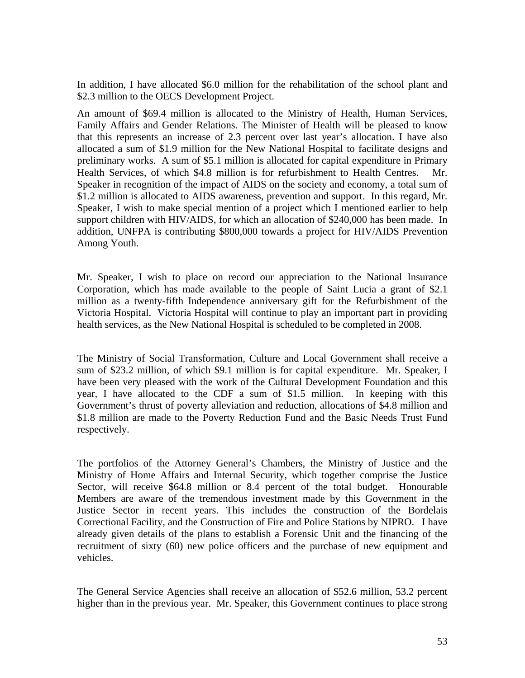In addition, I have allocated \$6.0 million for the rehabilitation of the school plant and \$2.3 million to the OECS Development Project.

An amount of \$69.4 million is allocated to the Ministry of Health, Human Services, Family Affairs and Gender Relations. The Minister of Health will be pleased to know that this represents an increase of 2.3 percent over last year's allocation. I have also allocated a sum of \$1.9 million for the New National Hospital to facilitate designs and preliminary works. A sum of \$5.1 million is allocated for capital expenditure in Primary Health Services, of which \$4.8 million is for refurbishment to Health Centres. Mr. Speaker in recognition of the impact of AIDS on the society and economy, a total sum of \$1.2 million is allocated to AIDS awareness, prevention and support. In this regard, Mr. Speaker, I wish to make special mention of a project which I mentioned earlier to help support children with HIV/AIDS, for which an allocation of \$240,000 has been made. In addition, UNFPA is contributing \$800,000 towards a project for HIV/AIDS Prevention Among Youth.

Mr. Speaker, I wish to place on record our appreciation to the National Insurance Corporation, which has made available to the people of Saint Lucia a grant of \$2.1 million as a twenty-fifth Independence anniversary gift for the Refurbishment of the Victoria Hospital. Victoria Hospital will continue to play an important part in providing health services, as the New National Hospital is scheduled to be completed in 2008.

The Ministry of Social Transformation, Culture and Local Government shall receive a sum of \$23.2 million, of which \$9.1 million is for capital expenditure. Mr. Speaker, I have been very pleased with the work of the Cultural Development Foundation and this year, I have allocated to the CDF a sum of \$1.5 million. In keeping with this Government's thrust of poverty alleviation and reduction, allocations of \$4.8 million and \$1.8 million are made to the Poverty Reduction Fund and the Basic Needs Trust Fund respectively.

The portfolios of the Attorney General's Chambers, the Ministry of Justice and the Ministry of Home Affairs and Internal Security, which together comprise the Justice Sector, will receive \$64.8 million or 8.4 percent of the total budget. Honourable Members are aware of the tremendous investment made by this Government in the Justice Sector in recent years. This includes the construction of the Bordelais Correctional Facility, and the Construction of Fire and Police Stations by NIPRO. I have already given details of the plans to establish a Forensic Unit and the financing of the recruitment of sixty (60) new police officers and the purchase of new equipment and vehicles.

The General Service Agencies shall receive an allocation of \$52.6 million, 53.2 percent higher than in the previous year. Mr. Speaker, this Government continues to place strong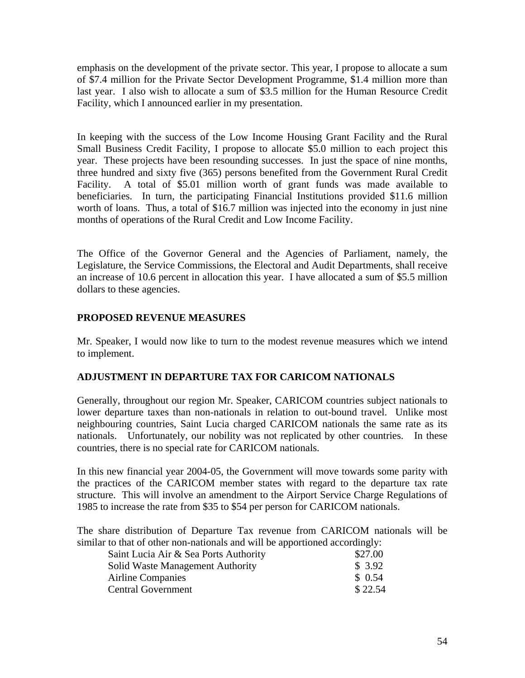<span id="page-53-0"></span>emphasis on the development of the private sector. This year, I propose to allocate a sum of \$7.4 million for the Private Sector Development Programme, \$1.4 million more than last year. I also wish to allocate a sum of \$3.5 million for the Human Resource Credit Facility, which I announced earlier in my presentation.

In keeping with the success of the Low Income Housing Grant Facility and the Rural Small Business Credit Facility, I propose to allocate \$5.0 million to each project this year. These projects have been resounding successes. In just the space of nine months, three hundred and sixty five (365) persons benefited from the Government Rural Credit Facility. A total of \$5.01 million worth of grant funds was made available to beneficiaries. In turn, the participating Financial Institutions provided \$11.6 million worth of loans. Thus, a total of \$16.7 million was injected into the economy in just nine months of operations of the Rural Credit and Low Income Facility.

The Office of the Governor General and the Agencies of Parliament, namely, the Legislature, the Service Commissions, the Electoral and Audit Departments, shall receive an increase of 10.6 percent in allocation this year. I have allocated a sum of \$5.5 million dollars to these agencies.

# **PROPOSED REVENUE MEASURES**

Mr. Speaker, I would now like to turn to the modest revenue measures which we intend to implement.

# **ADJUSTMENT IN DEPARTURE TAX FOR CARICOM NATIONALS**

Generally, throughout our region Mr. Speaker, CARICOM countries subject nationals to lower departure taxes than non-nationals in relation to out-bound travel. Unlike most neighbouring countries, Saint Lucia charged CARICOM nationals the same rate as its nationals. Unfortunately, our nobility was not replicated by other countries. In these countries, there is no special rate for CARICOM nationals.

In this new financial year 2004-05, the Government will move towards some parity with the practices of the CARICOM member states with regard to the departure tax rate structure. This will involve an amendment to the Airport Service Charge Regulations of 1985 to increase the rate from \$35 to \$54 per person for CARICOM nationals.

The share distribution of Departure Tax revenue from CARICOM nationals will be similar to that of other non-nationals and will be apportioned accordingly:

| \$27.00 |
|---------|
| \$3.92  |
| \$0.54  |
| \$22.54 |
|         |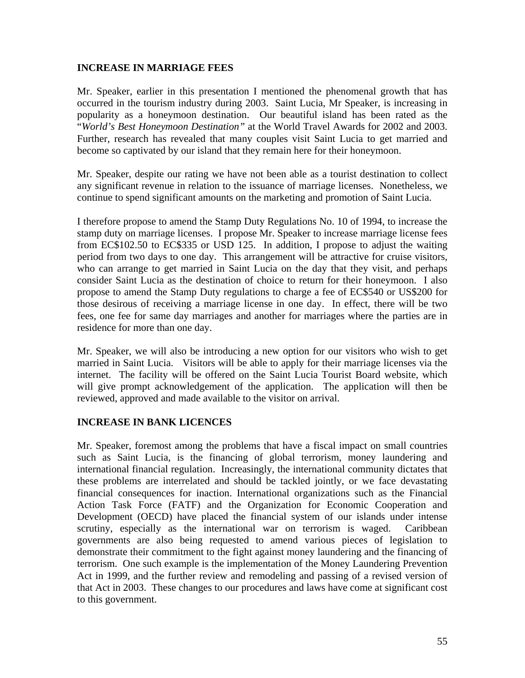#### <span id="page-54-0"></span>**INCREASE IN MARRIAGE FEES**

Mr. Speaker, earlier in this presentation I mentioned the phenomenal growth that has occurred in the tourism industry during 2003. Saint Lucia, Mr Speaker, is increasing in popularity as a honeymoon destination. Our beautiful island has been rated as the "*World's Best Honeymoon Destination"* at the World Travel Awards for 2002 and 2003. Further, research has revealed that many couples visit Saint Lucia to get married and become so captivated by our island that they remain here for their honeymoon.

Mr. Speaker, despite our rating we have not been able as a tourist destination to collect any significant revenue in relation to the issuance of marriage licenses. Nonetheless, we continue to spend significant amounts on the marketing and promotion of Saint Lucia.

I therefore propose to amend the Stamp Duty Regulations No. 10 of 1994, to increase the stamp duty on marriage licenses. I propose Mr. Speaker to increase marriage license fees from EC\$102.50 to EC\$335 or USD 125. In addition, I propose to adjust the waiting period from two days to one day. This arrangement will be attractive for cruise visitors, who can arrange to get married in Saint Lucia on the day that they visit, and perhaps consider Saint Lucia as the destination of choice to return for their honeymoon. I also propose to amend the Stamp Duty regulations to charge a fee of EC\$540 or US\$200 for those desirous of receiving a marriage license in one day. In effect, there will be two fees, one fee for same day marriages and another for marriages where the parties are in residence for more than one day.

Mr. Speaker, we will also be introducing a new option for our visitors who wish to get married in Saint Lucia. Visitors will be able to apply for their marriage licenses via the internet. The facility will be offered on the Saint Lucia Tourist Board website, which will give prompt acknowledgement of the application. The application will then be reviewed, approved and made available to the visitor on arrival.

# **INCREASE IN BANK LICENCES**

Mr. Speaker, foremost among the problems that have a fiscal impact on small countries such as Saint Lucia, is the financing of global terrorism, money laundering and international financial regulation. Increasingly, the international community dictates that these problems are interrelated and should be tackled jointly, or we face devastating financial consequences for inaction. International organizations such as the Financial Action Task Force (FATF) and the Organization for Economic Cooperation and Development (OECD) have placed the financial system of our islands under intense scrutiny, especially as the international war on terrorism is waged. Caribbean governments are also being requested to amend various pieces of legislation to demonstrate their commitment to the fight against money laundering and the financing of terrorism. One such example is the implementation of the Money Laundering Prevention Act in 1999, and the further review and remodeling and passing of a revised version of that Act in 2003. These changes to our procedures and laws have come at significant cost to this government.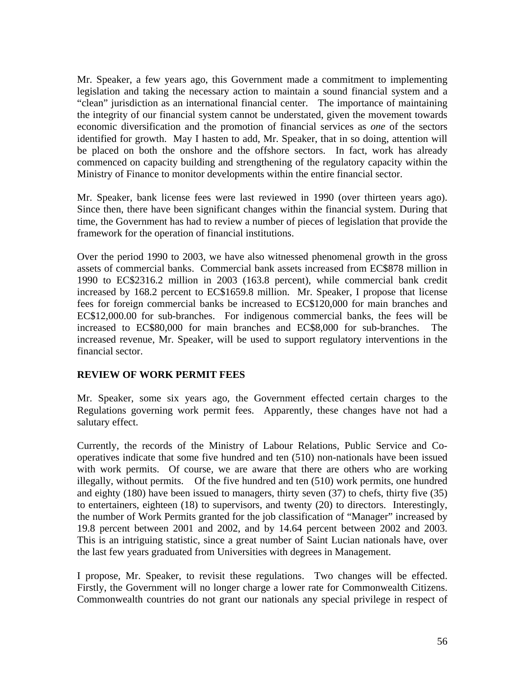<span id="page-55-0"></span>Mr. Speaker, a few years ago, this Government made a commitment to implementing legislation and taking the necessary action to maintain a sound financial system and a "clean" jurisdiction as an international financial center. The importance of maintaining the integrity of our financial system cannot be understated, given the movement towards economic diversification and the promotion of financial services as *one* of the sectors identified for growth. May I hasten to add, Mr. Speaker, that in so doing, attention will be placed on both the onshore and the offshore sectors. In fact, work has already commenced on capacity building and strengthening of the regulatory capacity within the Ministry of Finance to monitor developments within the entire financial sector.

Mr. Speaker, bank license fees were last reviewed in 1990 (over thirteen years ago). Since then, there have been significant changes within the financial system. During that time, the Government has had to review a number of pieces of legislation that provide the framework for the operation of financial institutions.

Over the period 1990 to 2003, we have also witnessed phenomenal growth in the gross assets of commercial banks. Commercial bank assets increased from EC\$878 million in 1990 to EC\$2316.2 million in 2003 (163.8 percent), while commercial bank credit increased by 168.2 percent to EC\$1659.8 million. Mr. Speaker, I propose that license fees for foreign commercial banks be increased to EC\$120,000 for main branches and EC\$12,000.00 for sub-branches. For indigenous commercial banks, the fees will be increased to EC\$80,000 for main branches and EC\$8,000 for sub-branches. increased revenue, Mr. Speaker, will be used to support regulatory interventions in the financial sector.

#### **REVIEW OF WORK PERMIT FEES**

Mr. Speaker, some six years ago, the Government effected certain charges to the Regulations governing work permit fees. Apparently, these changes have not had a salutary effect.

Currently, the records of the Ministry of Labour Relations, Public Service and Cooperatives indicate that some five hundred and ten (510) non-nationals have been issued with work permits. Of course, we are aware that there are others who are working illegally, without permits. Of the five hundred and ten (510) work permits, one hundred and eighty (180) have been issued to managers, thirty seven (37) to chefs, thirty five (35) to entertainers, eighteen (18) to supervisors, and twenty (20) to directors. Interestingly, the number of Work Permits granted for the job classification of "Manager" increased by 19.8 percent between 2001 and 2002, and by 14.64 percent between 2002 and 2003. This is an intriguing statistic, since a great number of Saint Lucian nationals have, over the last few years graduated from Universities with degrees in Management.

I propose, Mr. Speaker, to revisit these regulations. Two changes will be effected. Firstly, the Government will no longer charge a lower rate for Commonwealth Citizens. Commonwealth countries do not grant our nationals any special privilege in respect of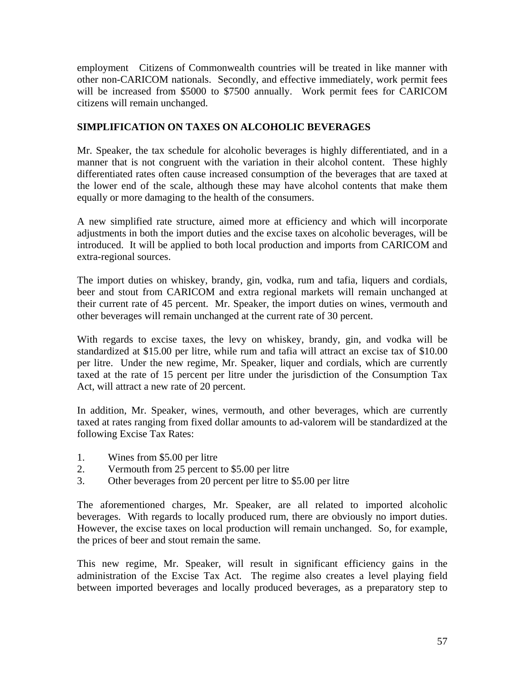<span id="page-56-0"></span>employment Citizens of Commonwealth countries will be treated in like manner with other non-CARICOM nationals. Secondly, and effective immediately, work permit fees will be increased from \$5000 to \$7500 annually. Work permit fees for CARICOM citizens will remain unchanged.

# **SIMPLIFICATION ON TAXES ON ALCOHOLIC BEVERAGES**

Mr. Speaker, the tax schedule for alcoholic beverages is highly differentiated, and in a manner that is not congruent with the variation in their alcohol content. These highly differentiated rates often cause increased consumption of the beverages that are taxed at the lower end of the scale, although these may have alcohol contents that make them equally or more damaging to the health of the consumers.

A new simplified rate structure, aimed more at efficiency and which will incorporate adjustments in both the import duties and the excise taxes on alcoholic beverages, will be introduced. It will be applied to both local production and imports from CARICOM and extra-regional sources.

The import duties on whiskey, brandy, gin, vodka, rum and tafia, liquers and cordials, beer and stout from CARICOM and extra regional markets will remain unchanged at their current rate of 45 percent. Mr. Speaker, the import duties on wines, vermouth and other beverages will remain unchanged at the current rate of 30 percent.

With regards to excise taxes, the levy on whiskey, brandy, gin, and vodka will be standardized at \$15.00 per litre, while rum and tafia will attract an excise tax of \$10.00 per litre. Under the new regime, Mr. Speaker, liquer and cordials, which are currently taxed at the rate of 15 percent per litre under the jurisdiction of the Consumption Tax Act, will attract a new rate of 20 percent.

In addition, Mr. Speaker, wines, vermouth, and other beverages, which are currently taxed at rates ranging from fixed dollar amounts to ad-valorem will be standardized at the following Excise Tax Rates:

- 1. Wines from \$5.00 per litre
- 2. Vermouth from 25 percent to \$5.00 per litre
- 3. Other beverages from 20 percent per litre to \$5.00 per litre

The aforementioned charges, Mr. Speaker, are all related to imported alcoholic beverages. With regards to locally produced rum, there are obviously no import duties. However, the excise taxes on local production will remain unchanged. So, for example, the prices of beer and stout remain the same.

This new regime, Mr. Speaker, will result in significant efficiency gains in the administration of the Excise Tax Act. The regime also creates a level playing field between imported beverages and locally produced beverages, as a preparatory step to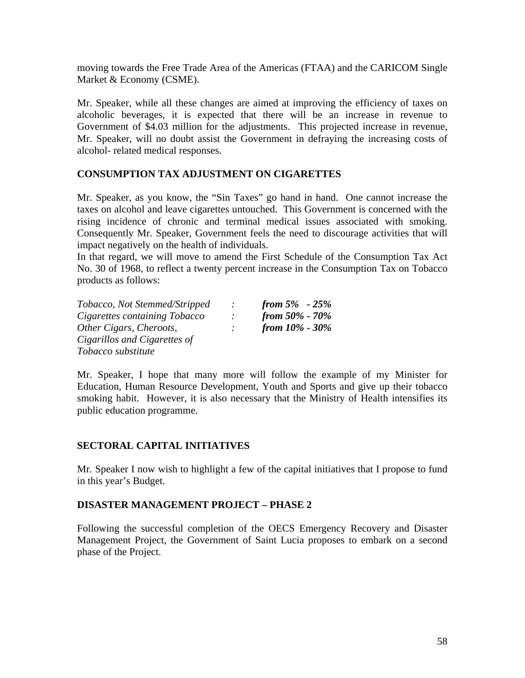<span id="page-57-0"></span>moving towards the Free Trade Area of the Americas (FTAA) and the CARICOM Single Market & Economy (CSME).

Mr. Speaker, while all these changes are aimed at improving the efficiency of taxes on alcoholic beverages, it is expected that there will be an increase in revenue to Government of \$4.03 million for the adjustments. This projected increase in revenue, Mr. Speaker, will no doubt assist the Government in defraying the increasing costs of alcohol- related medical responses.

### **CONSUMPTION TAX ADJUSTMENT ON CIGARETTES**

Mr. Speaker, as you know, the "Sin Taxes" go hand in hand. One cannot increase the taxes on alcohol and leave cigarettes untouched. This Government is concerned with the rising incidence of chronic and terminal medical issues associated with smoking. Consequently Mr. Speaker, Government feels the need to discourage activities that will impact negatively on the health of individuals.

In that regard, we will move to amend the First Schedule of the Consumption Tax Act No. 30 of 1968, to reflect a twenty percent increase in the Consumption Tax on Tobacco products as follows:

| Tobacco, Not Stemmed/Stripped | $\mathcal{L}$ | from $5\% - 25\%$    |
|-------------------------------|---------------|----------------------|
| Cigarettes containing Tobacco |               | from $50\%$ - $70\%$ |
| Other Cigars, Cheroots,       |               | from $10\%$ - $30\%$ |
| Cigarillos and Cigarettes of  |               |                      |
| Tobacco substitute            |               |                      |

Mr. Speaker, I hope that many more will follow the example of my Minister for Education, Human Resource Development, Youth and Sports and give up their tobacco smoking habit. However, it is also necessary that the Ministry of Health intensifies its public education programme.

#### **SECTORAL CAPITAL INITIATIVES**

Mr. Speaker I now wish to highlight a few of the capital initiatives that I propose to fund in this year's Budget.

#### **DISASTER MANAGEMENT PROJECT – PHASE 2**

Following the successful completion of the OECS Emergency Recovery and Disaster Management Project, the Government of Saint Lucia proposes to embark on a second phase of the Project.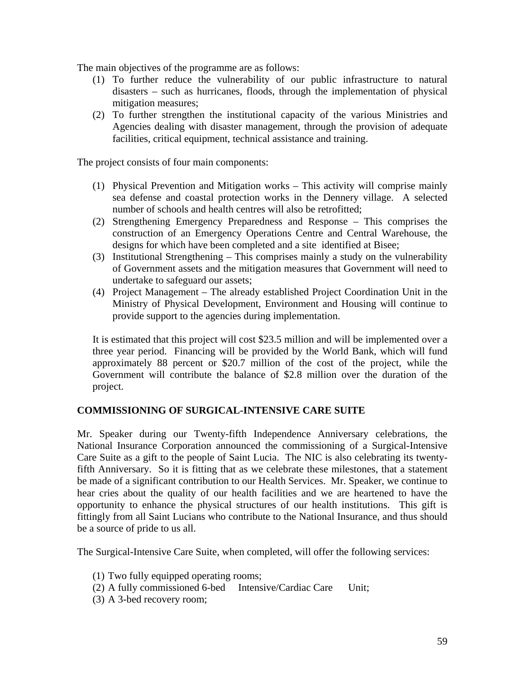<span id="page-58-0"></span>The main objectives of the programme are as follows:

- (1) To further reduce the vulnerability of our public infrastructure to natural disasters – such as hurricanes, floods, through the implementation of physical mitigation measures;
- (2) To further strengthen the institutional capacity of the various Ministries and Agencies dealing with disaster management, through the provision of adequate facilities, critical equipment, technical assistance and training.

The project consists of four main components:

- (1) Physical Prevention and Mitigation works This activity will comprise mainly sea defense and coastal protection works in the Dennery village. A selected number of schools and health centres will also be retrofitted;
- (2) Strengthening Emergency Preparedness and Response This comprises the construction of an Emergency Operations Centre and Central Warehouse, the designs for which have been completed and a site identified at Bisee;
- (3) Institutional Strengthening This comprises mainly a study on the vulnerability of Government assets and the mitigation measures that Government will need to undertake to safeguard our assets;
- (4) Project Management The already established Project Coordination Unit in the Ministry of Physical Development, Environment and Housing will continue to provide support to the agencies during implementation.

It is estimated that this project will cost \$23.5 million and will be implemented over a three year period. Financing will be provided by the World Bank, which will fund approximately 88 percent or \$20.7 million of the cost of the project, while the Government will contribute the balance of \$2.8 million over the duration of the project.

# **COMMISSIONING OF SURGICAL-INTENSIVE CARE SUITE**

Mr. Speaker during our Twenty-fifth Independence Anniversary celebrations, the National Insurance Corporation announced the commissioning of a Surgical-Intensive Care Suite as a gift to the people of Saint Lucia. The NIC is also celebrating its twentyfifth Anniversary. So it is fitting that as we celebrate these milestones, that a statement be made of a significant contribution to our Health Services. Mr. Speaker, we continue to hear cries about the quality of our health facilities and we are heartened to have the opportunity to enhance the physical structures of our health institutions. This gift is fittingly from all Saint Lucians who contribute to the National Insurance, and thus should be a source of pride to us all.

The Surgical-Intensive Care Suite, when completed, will offer the following services:

- (1) Two fully equipped operating rooms;
- (2) A fully commissioned 6-bed Intensive/Cardiac Care Unit;
- (3) A 3-bed recovery room;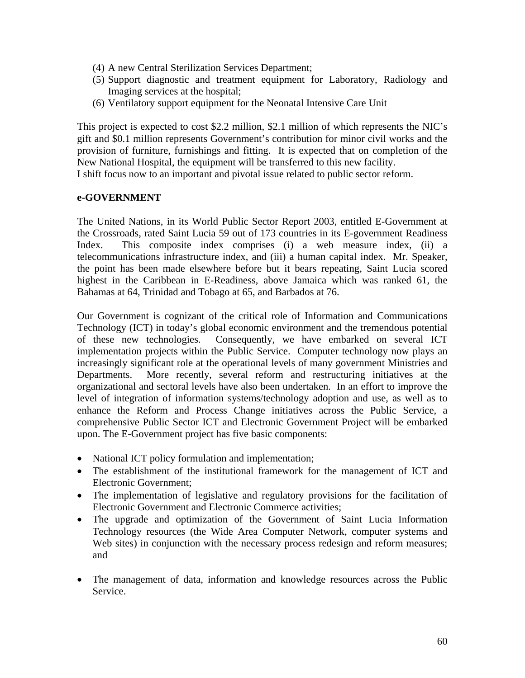- <span id="page-59-0"></span>(4) A new Central Sterilization Services Department;
- (5) Support diagnostic and treatment equipment for Laboratory, Radiology and Imaging services at the hospital;
- (6) Ventilatory support equipment for the Neonatal Intensive Care Unit

This project is expected to cost \$2.2 million, \$2.1 million of which represents the NIC's gift and \$0.1 million represents Government's contribution for minor civil works and the provision of furniture, furnishings and fitting. It is expected that on completion of the New National Hospital, the equipment will be transferred to this new facility. I shift focus now to an important and pivotal issue related to public sector reform.

#### **e-GOVERNMENT**

The United Nations, in its World Public Sector Report 2003, entitled E-Government at the Crossroads, rated Saint Lucia 59 out of 173 countries in its E-government Readiness Index. This composite index comprises (i) a web measure index, (ii) a telecommunications infrastructure index, and (iii) a human capital index. Mr. Speaker, the point has been made elsewhere before but it bears repeating, Saint Lucia scored highest in the Caribbean in E-Readiness, above Jamaica which was ranked 61, the Bahamas at 64, Trinidad and Tobago at 65, and Barbados at 76.

Our Government is cognizant of the critical role of Information and Communications Technology (ICT) in today's global economic environment and the tremendous potential of these new technologies. Consequently, we have embarked on several ICT implementation projects within the Public Service. Computer technology now plays an increasingly significant role at the operational levels of many government Ministries and Departments. More recently, several reform and restructuring initiatives at the organizational and sectoral levels have also been undertaken. In an effort to improve the level of integration of information systems/technology adoption and use, as well as to enhance the Reform and Process Change initiatives across the Public Service, a comprehensive Public Sector ICT and Electronic Government Project will be embarked upon. The E-Government project has five basic components:

- National ICT policy formulation and implementation;
- The establishment of the institutional framework for the management of ICT and Electronic Government;
- The implementation of legislative and regulatory provisions for the facilitation of Electronic Government and Electronic Commerce activities;
- The upgrade and optimization of the Government of Saint Lucia Information Technology resources (the Wide Area Computer Network, computer systems and Web sites) in conjunction with the necessary process redesign and reform measures; and
- The management of data, information and knowledge resources across the Public Service.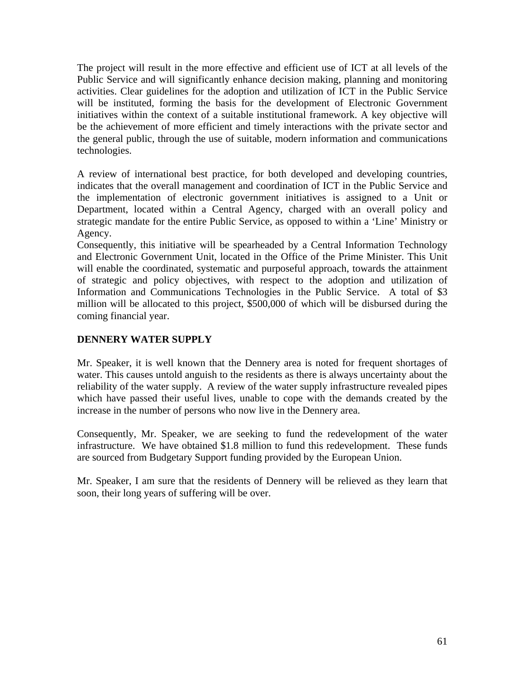<span id="page-60-0"></span>The project will result in the more effective and efficient use of ICT at all levels of the Public Service and will significantly enhance decision making, planning and monitoring activities. Clear guidelines for the adoption and utilization of ICT in the Public Service will be instituted, forming the basis for the development of Electronic Government initiatives within the context of a suitable institutional framework. A key objective will be the achievement of more efficient and timely interactions with the private sector and the general public, through the use of suitable, modern information and communications technologies.

A review of international best practice, for both developed and developing countries, indicates that the overall management and coordination of ICT in the Public Service and the implementation of electronic government initiatives is assigned to a Unit or Department, located within a Central Agency, charged with an overall policy and strategic mandate for the entire Public Service, as opposed to within a 'Line' Ministry or Agency.

Consequently, this initiative will be spearheaded by a Central Information Technology and Electronic Government Unit, located in the Office of the Prime Minister. This Unit will enable the coordinated, systematic and purposeful approach, towards the attainment of strategic and policy objectives, with respect to the adoption and utilization of Information and Communications Technologies in the Public Service. A total of \$3 million will be allocated to this project, \$500,000 of which will be disbursed during the coming financial year.

# **DENNERY WATER SUPPLY**

Mr. Speaker, it is well known that the Dennery area is noted for frequent shortages of water. This causes untold anguish to the residents as there is always uncertainty about the reliability of the water supply. A review of the water supply infrastructure revealed pipes which have passed their useful lives, unable to cope with the demands created by the increase in the number of persons who now live in the Dennery area.

Consequently, Mr. Speaker, we are seeking to fund the redevelopment of the water infrastructure. We have obtained \$1.8 million to fund this redevelopment. These funds are sourced from Budgetary Support funding provided by the European Union.

Mr. Speaker, I am sure that the residents of Dennery will be relieved as they learn that soon, their long years of suffering will be over.